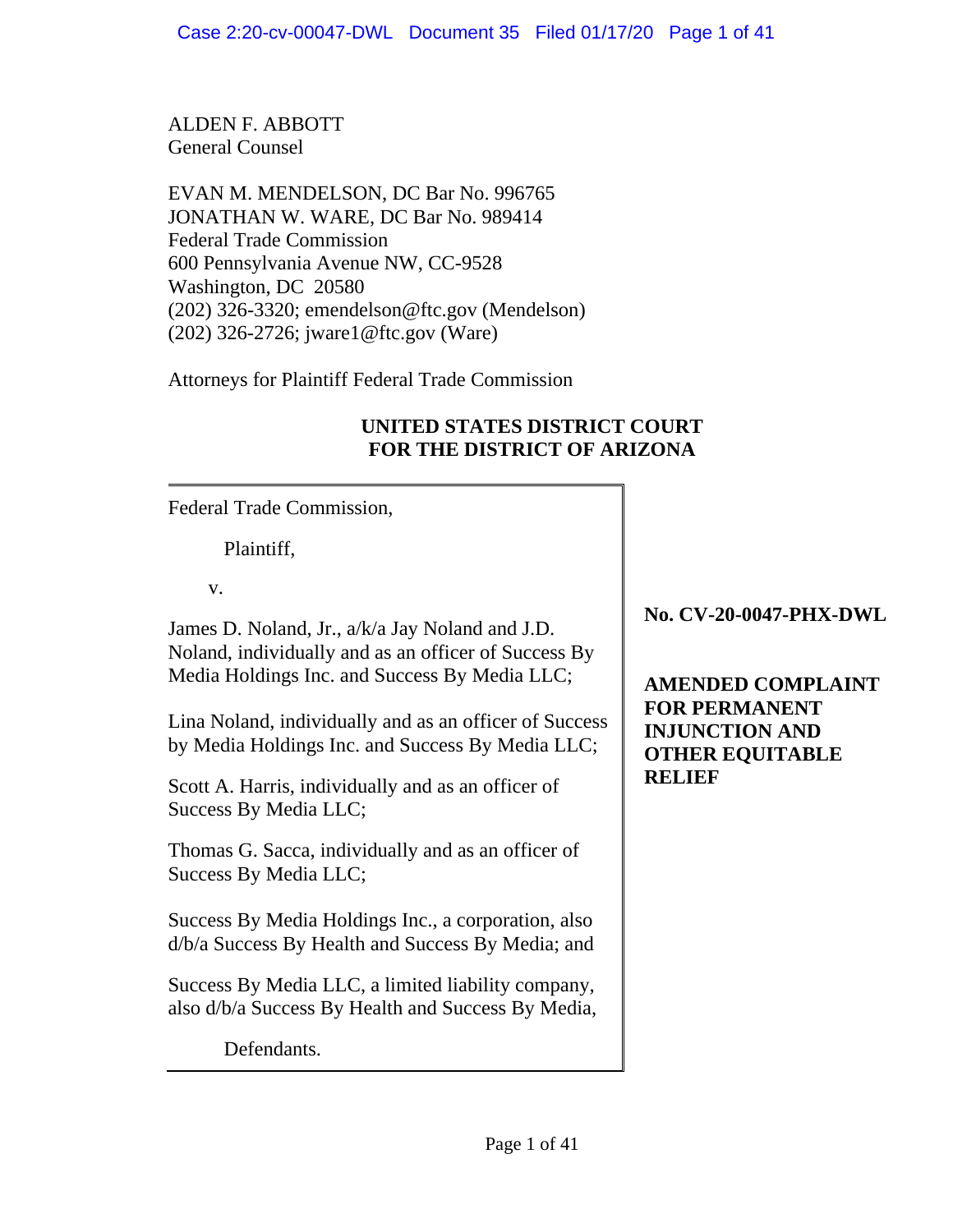ALDEN F. ABBOTT General Counsel

EVAN M. MENDELSON, DC Bar No. 996765 JONATHAN W. WARE, DC Bar No. 989414 Federal Trade Commission 600 Pennsylvania Avenue NW, CC-9528 Washington, DC 20580 (202) 326-3320; emendelson@ftc.gov (Mendelson) (202) 326-2726; jware1@ftc.gov (Ware)

Attorneys for Plaintiff Federal Trade Commission

# **UNITED STATES DISTRICT COURT FOR THE DISTRICT OF ARIZONA**

Federal Trade Commission,

Plaintiff,

v.

James D. Noland, Jr., a/k/a Jay Noland and J.D. Noland, individually and as an officer of Success By Media Holdings Inc. and Success By Media LLC;

Lina Noland, individually and as an officer of Success by Media Holdings Inc. and Success By Media LLC;

Scott A. Harris, individually and as an officer of Success By Media LLC;

Thomas G. Sacca, individually and as an officer of Success By Media LLC;

Success By Media Holdings Inc., a corporation, also d/b/a Success By Health and Success By Media; and

Success By Media LLC, a limited liability company, also d/b/a Success By Health and Success By Media,

Defendants.

**No. CV-20-0047-PHX-DWL** 

**AMENDED COMPLAINT FOR PERMANENT INJUNCTION AND OTHER EQUITABLE RELIEF**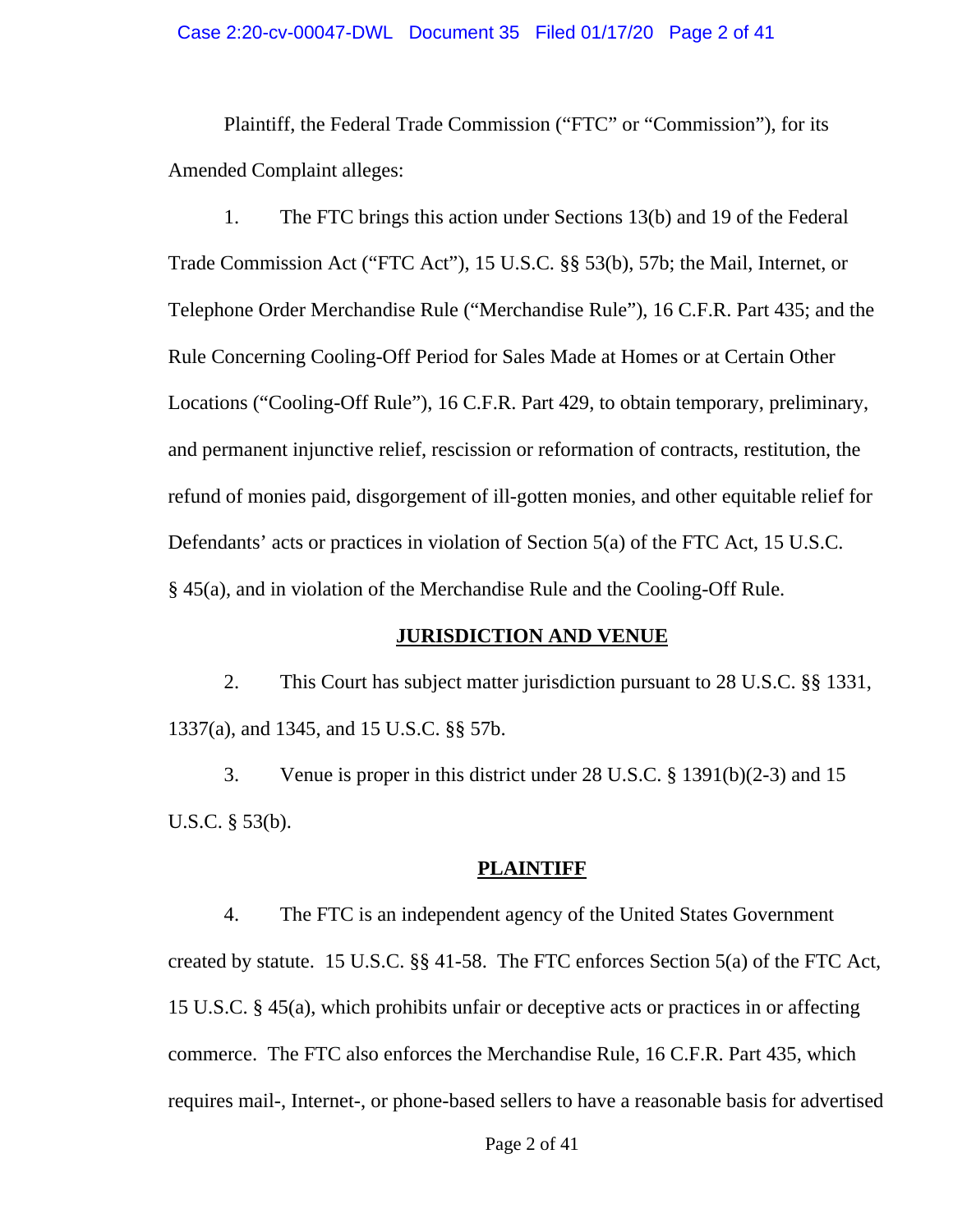#### Case 2:20-cv-00047-DWL Document 35 Filed 01/17/20 Page 2 of 41

Plaintiff, the Federal Trade Commission ("FTC" or "Commission"), for its Amended Complaint alleges:

1. The FTC brings this action under Sections 13(b) and 19 of the Federal Trade Commission Act ("FTC Act"), 15 U.S.C. §§ 53(b), 57b; the Mail, Internet, or Telephone Order Merchandise Rule ("Merchandise Rule"), 16 C.F.R. Part 435; and the Rule Concerning Cooling-Off Period for Sales Made at Homes or at Certain Other Locations ("Cooling-Off Rule"), 16 C.F.R. Part 429, to obtain temporary, preliminary, and permanent injunctive relief, rescission or reformation of contracts, restitution, the refund of monies paid, disgorgement of ill-gotten monies, and other equitable relief for Defendants' acts or practices in violation of Section 5(a) of the FTC Act, 15 U.S.C. § 45(a), and in violation of the Merchandise Rule and the Cooling-Off Rule.

### **JURISDICTION AND VENUE**

2. This Court has subject matter jurisdiction pursuant to 28 U.S.C. §§ 1331, 1337(a), and 1345, and 15 U.S.C. §§ 57b.

3. Venue is proper in this district under 28 U.S.C. § 1391(b)(2-3) and 15 U.S.C. § 53(b).

#### **PLAINTIFF**

4. The FTC is an independent agency of the United States Government created by statute. 15 U.S.C. §§ 41-58. The FTC enforces Section 5(a) of the FTC Act, 15 U.S.C. § 45(a), which prohibits unfair or deceptive acts or practices in or affecting commerce. The FTC also enforces the Merchandise Rule, 16 C.F.R. Part 435, which requires mail-, Internet-, or phone-based sellers to have a reasonable basis for advertised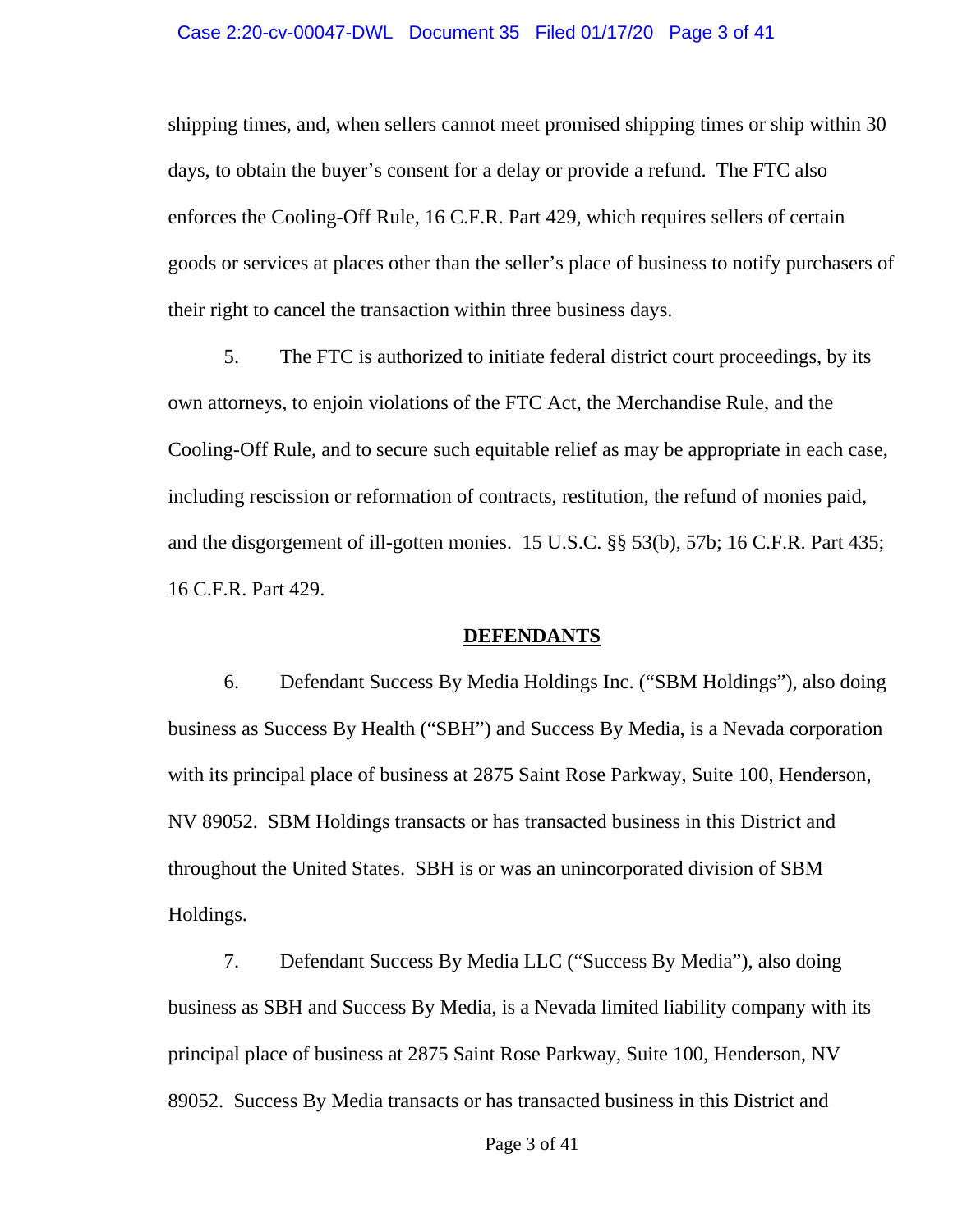#### Case 2:20-cv-00047-DWL Document 35 Filed 01/17/20 Page 3 of 41

shipping times, and, when sellers cannot meet promised shipping times or ship within 30 days, to obtain the buyer's consent for a delay or provide a refund. The FTC also enforces the Cooling-Off Rule, 16 C.F.R. Part 429, which requires sellers of certain goods or services at places other than the seller's place of business to notify purchasers of their right to cancel the transaction within three business days.

5. The FTC is authorized to initiate federal district court proceedings, by its own attorneys, to enjoin violations of the FTC Act, the Merchandise Rule, and the Cooling-Off Rule, and to secure such equitable relief as may be appropriate in each case, including rescission or reformation of contracts, restitution, the refund of monies paid, and the disgorgement of ill-gotten monies. 15 U.S.C. §§ 53(b), 57b; 16 C.F.R. Part 435; 16 C.F.R. Part 429.

### **DEFENDANTS**

6. Defendant Success By Media Holdings Inc. ("SBM Holdings"), also doing business as Success By Health ("SBH") and Success By Media, is a Nevada corporation with its principal place of business at 2875 Saint Rose Parkway, Suite 100, Henderson, NV 89052. SBM Holdings transacts or has transacted business in this District and throughout the United States. SBH is or was an unincorporated division of SBM Holdings.

7. Defendant Success By Media LLC ("Success By Media"), also doing business as SBH and Success By Media, is a Nevada limited liability company with its principal place of business at 2875 Saint Rose Parkway, Suite 100, Henderson, NV 89052. Success By Media transacts or has transacted business in this District and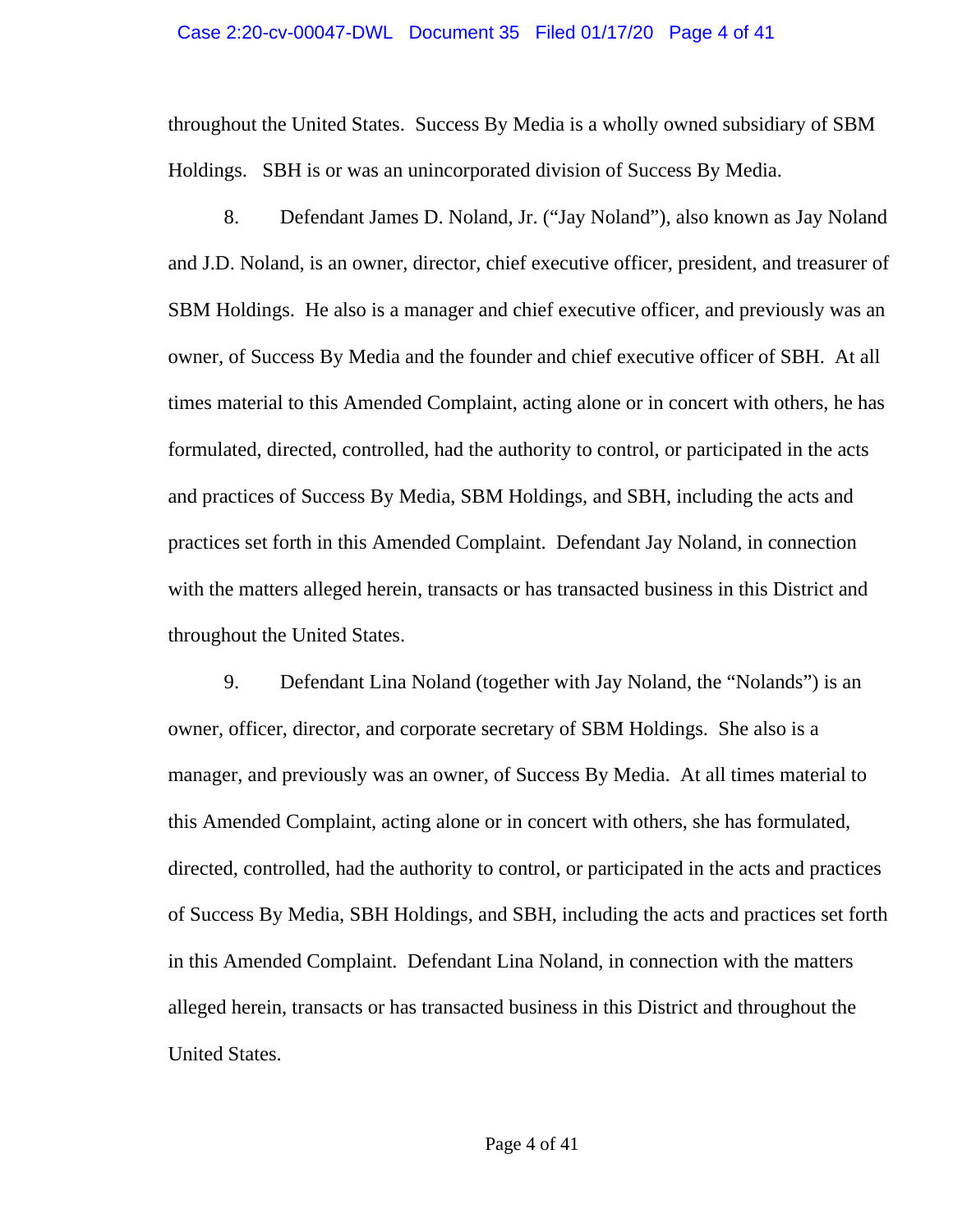#### Case 2:20-cv-00047-DWL Document 35 Filed 01/17/20 Page 4 of 41

throughout the United States. Success By Media is a wholly owned subsidiary of SBM Holdings. SBH is or was an unincorporated division of Success By Media.

8. Defendant James D. Noland, Jr. ("Jay Noland"), also known as Jay Noland and J.D. Noland, is an owner, director, chief executive officer, president, and treasurer of SBM Holdings. He also is a manager and chief executive officer, and previously was an owner, of Success By Media and the founder and chief executive officer of SBH. At all times material to this Amended Complaint, acting alone or in concert with others, he has formulated, directed, controlled, had the authority to control, or participated in the acts and practices of Success By Media, SBM Holdings, and SBH, including the acts and practices set forth in this Amended Complaint. Defendant Jay Noland, in connection with the matters alleged herein, transacts or has transacted business in this District and throughout the United States.

9. Defendant Lina Noland (together with Jay Noland, the "Nolands") is an owner, officer, director, and corporate secretary of SBM Holdings. She also is a manager, and previously was an owner, of Success By Media. At all times material to this Amended Complaint, acting alone or in concert with others, she has formulated, directed, controlled, had the authority to control, or participated in the acts and practices of Success By Media, SBH Holdings, and SBH, including the acts and practices set forth in this Amended Complaint. Defendant Lina Noland, in connection with the matters alleged herein, transacts or has transacted business in this District and throughout the United States.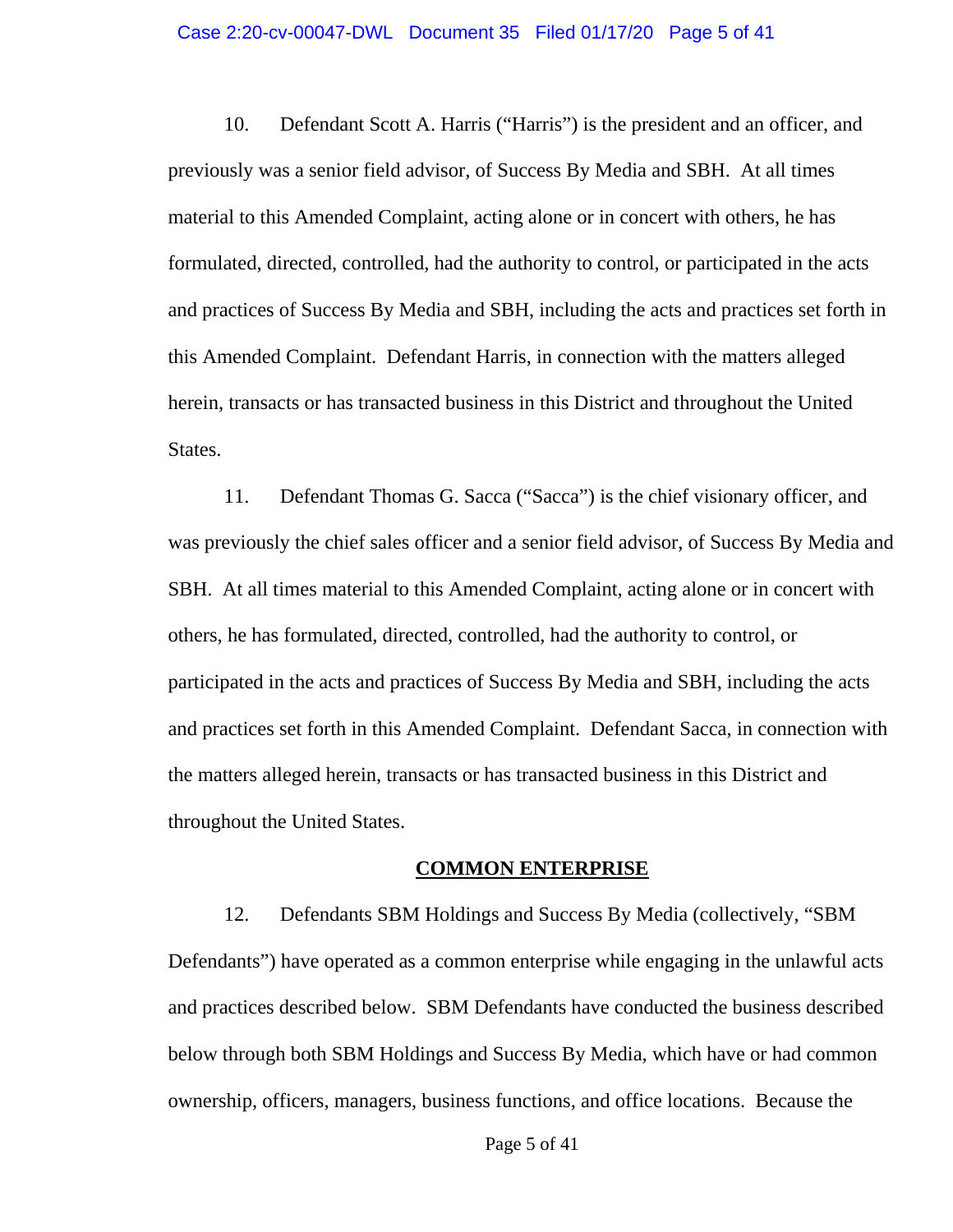#### Case 2:20-cv-00047-DWL Document 35 Filed 01/17/20 Page 5 of 41

10. Defendant Scott A. Harris ("Harris") is the president and an officer, and previously was a senior field advisor, of Success By Media and SBH. At all times material to this Amended Complaint, acting alone or in concert with others, he has formulated, directed, controlled, had the authority to control, or participated in the acts and practices of Success By Media and SBH, including the acts and practices set forth in this Amended Complaint. Defendant Harris, in connection with the matters alleged herein, transacts or has transacted business in this District and throughout the United States.

11. Defendant Thomas G. Sacca ("Sacca") is the chief visionary officer, and was previously the chief sales officer and a senior field advisor, of Success By Media and SBH. At all times material to this Amended Complaint, acting alone or in concert with others, he has formulated, directed, controlled, had the authority to control, or participated in the acts and practices of Success By Media and SBH, including the acts and practices set forth in this Amended Complaint. Defendant Sacca, in connection with the matters alleged herein, transacts or has transacted business in this District and throughout the United States.

### **COMMON ENTERPRISE**

12. Defendants SBM Holdings and Success By Media (collectively, "SBM Defendants") have operated as a common enterprise while engaging in the unlawful acts and practices described below. SBM Defendants have conducted the business described below through both SBM Holdings and Success By Media, which have or had common ownership, officers, managers, business functions, and office locations. Because the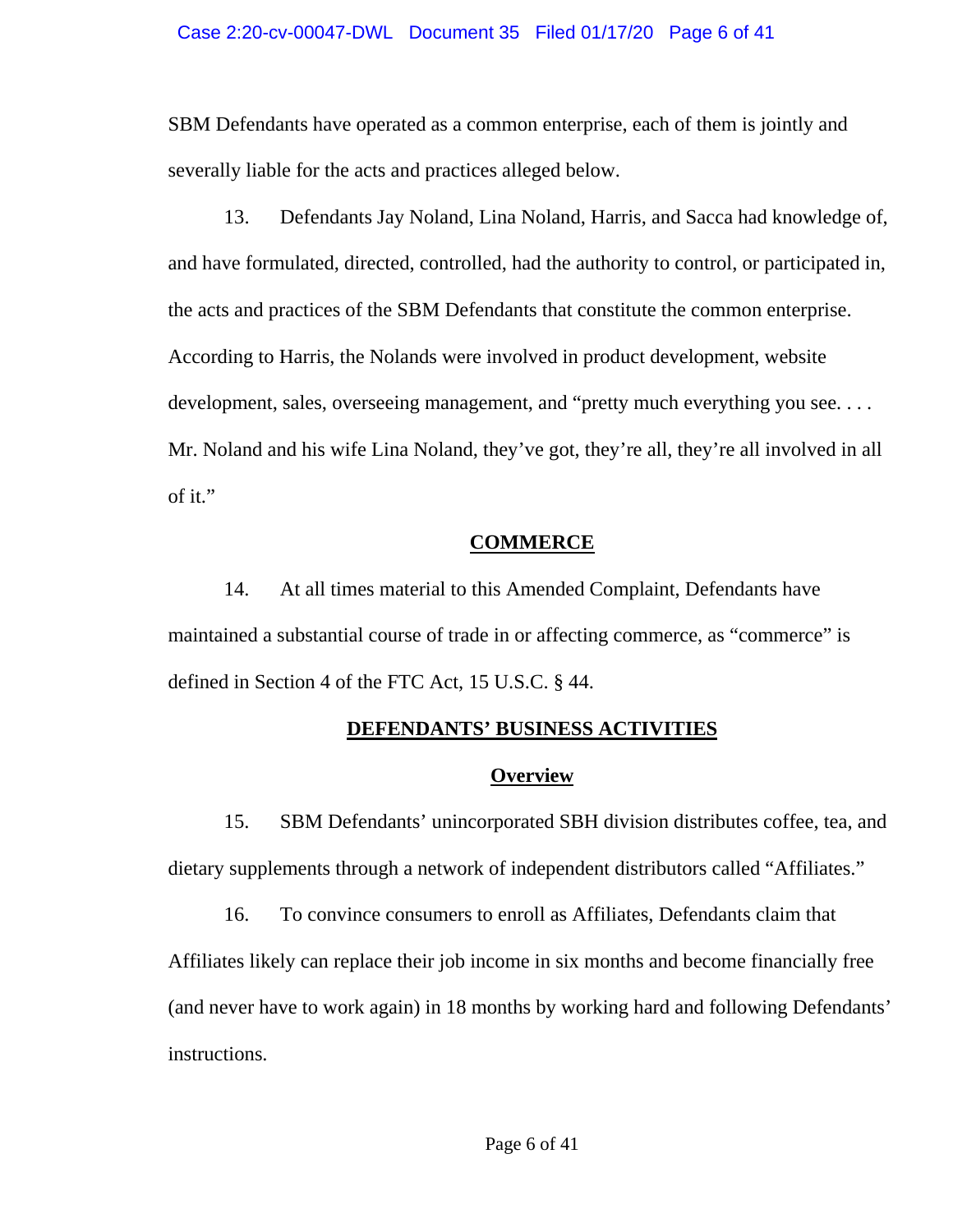#### Case 2:20-cv-00047-DWL Document 35 Filed 01/17/20 Page 6 of 41

SBM Defendants have operated as a common enterprise, each of them is jointly and severally liable for the acts and practices alleged below.

13. Defendants Jay Noland, Lina Noland, Harris, and Sacca had knowledge of, and have formulated, directed, controlled, had the authority to control, or participated in, the acts and practices of the SBM Defendants that constitute the common enterprise. According to Harris, the Nolands were involved in product development, website development, sales, overseeing management, and "pretty much everything you see.... Mr. Noland and his wife Lina Noland, they've got, they're all, they're all involved in all of it."

### **COMMERCE**

14. At all times material to this Amended Complaint, Defendants have maintained a substantial course of trade in or affecting commerce, as "commerce" is defined in Section 4 of the FTC Act, 15 U.S.C. § 44.

# **DEFENDANTS' BUSINESS ACTIVITIES**

## **Overview**

15. SBM Defendants' unincorporated SBH division distributes coffee, tea, and dietary supplements through a network of independent distributors called "Affiliates."

16. To convince consumers to enroll as Affiliates, Defendants claim that Affiliates likely can replace their job income in six months and become financially free (and never have to work again) in 18 months by working hard and following Defendants' instructions.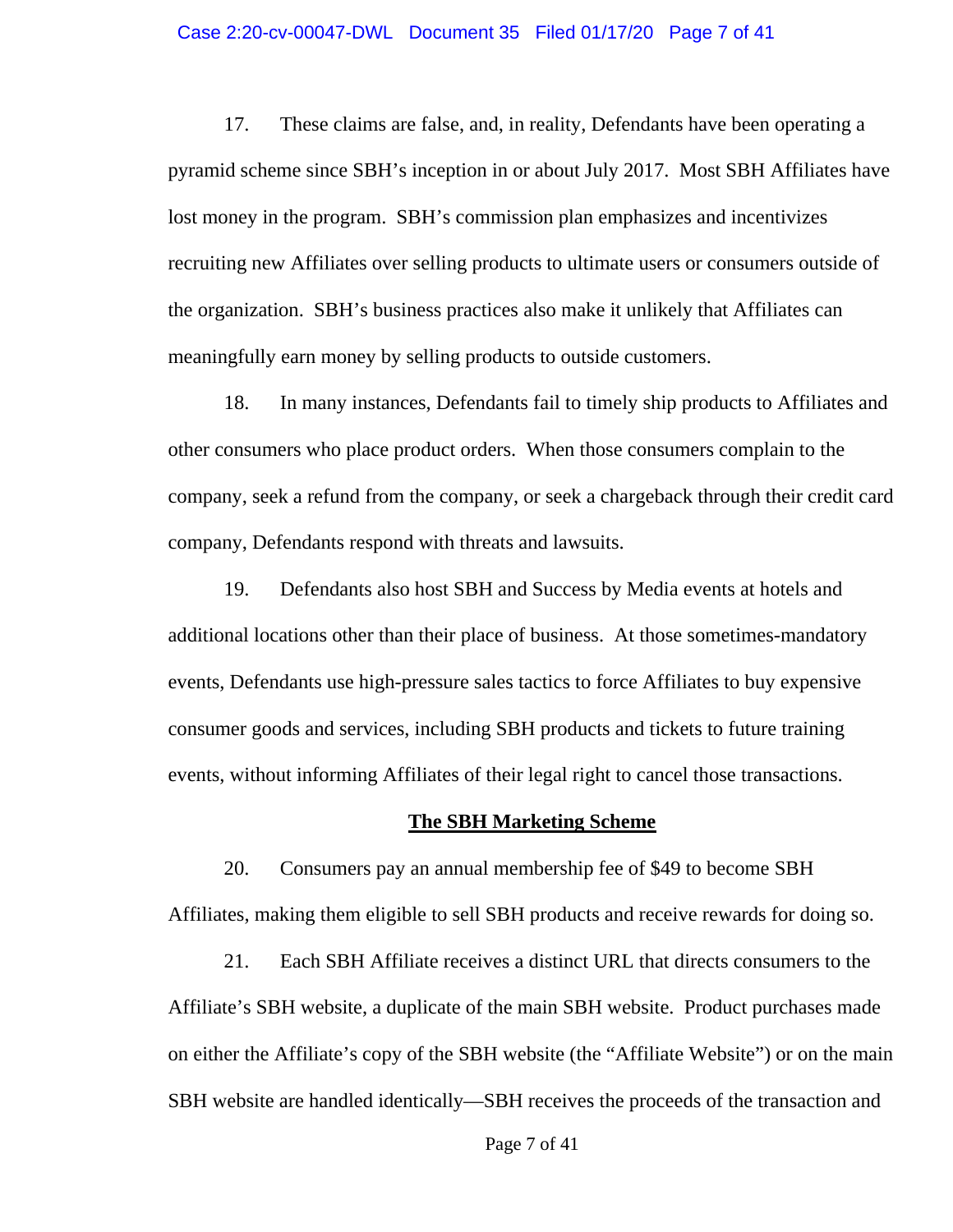#### Case 2:20-cv-00047-DWL Document 35 Filed 01/17/20 Page 7 of 41

17. These claims are false, and, in reality, Defendants have been operating a pyramid scheme since SBH's inception in or about July 2017. Most SBH Affiliates have lost money in the program. SBH's commission plan emphasizes and incentivizes recruiting new Affiliates over selling products to ultimate users or consumers outside of the organization. SBH's business practices also make it unlikely that Affiliates can meaningfully earn money by selling products to outside customers.

18. In many instances, Defendants fail to timely ship products to Affiliates and other consumers who place product orders. When those consumers complain to the company, seek a refund from the company, or seek a chargeback through their credit card company, Defendants respond with threats and lawsuits.

19. Defendants also host SBH and Success by Media events at hotels and additional locations other than their place of business. At those sometimes-mandatory events, Defendants use high-pressure sales tactics to force Affiliates to buy expensive consumer goods and services, including SBH products and tickets to future training events, without informing Affiliates of their legal right to cancel those transactions.

### **The SBH Marketing Scheme**

20. Consumers pay an annual membership fee of \$49 to become SBH Affiliates, making them eligible to sell SBH products and receive rewards for doing so.

21. Each SBH Affiliate receives a distinct URL that directs consumers to the Affiliate's SBH website, a duplicate of the main SBH website. Product purchases made on either the Affiliate's copy of the SBH website (the "Affiliate Website") or on the main SBH website are handled identically—SBH receives the proceeds of the transaction and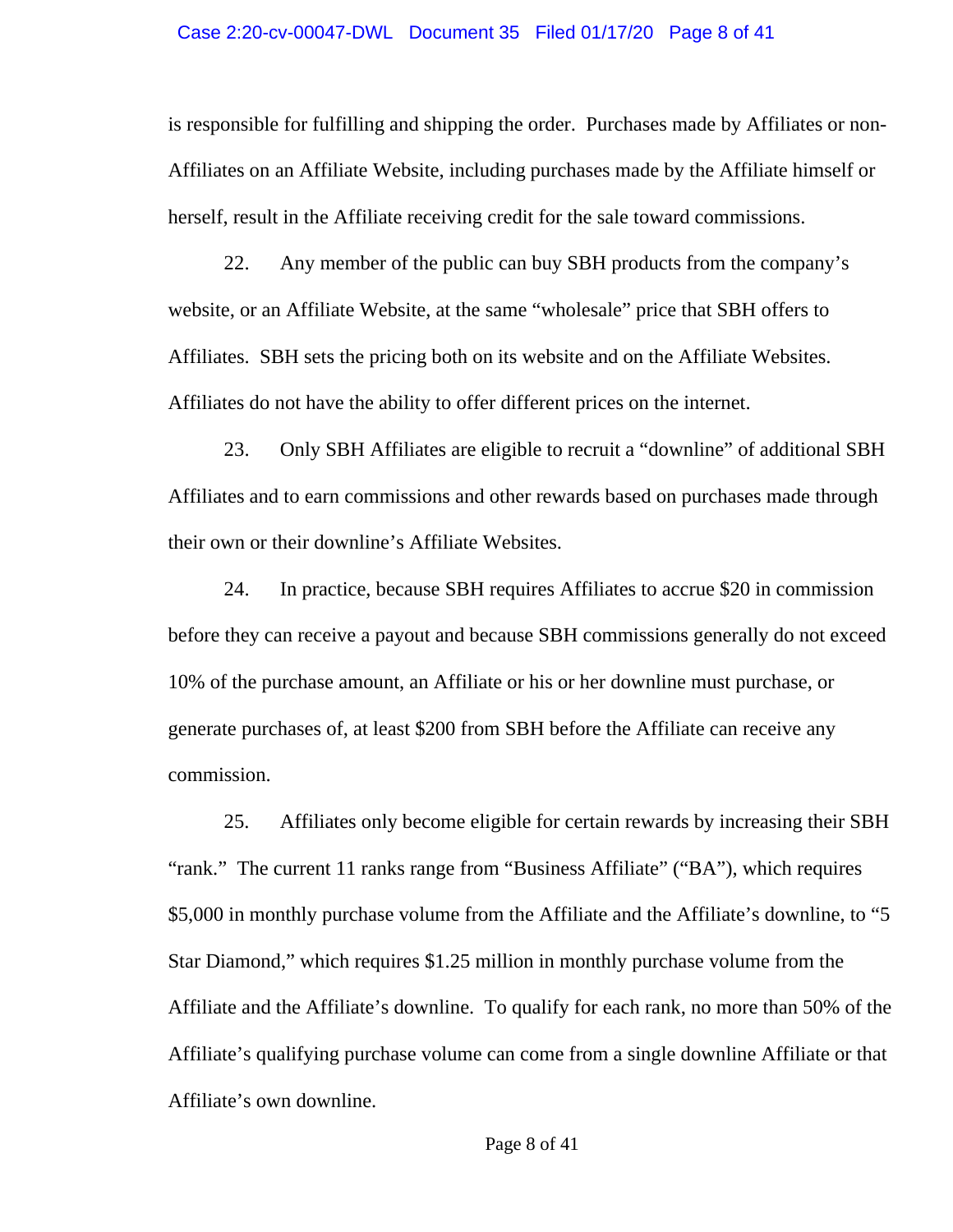#### Case 2:20-cv-00047-DWL Document 35 Filed 01/17/20 Page 8 of 41

is responsible for fulfilling and shipping the order. Purchases made by Affiliates or non-Affiliates on an Affiliate Website, including purchases made by the Affiliate himself or herself, result in the Affiliate receiving credit for the sale toward commissions.

22. Any member of the public can buy SBH products from the company's website, or an Affiliate Website, at the same "wholesale" price that SBH offers to Affiliates. SBH sets the pricing both on its website and on the Affiliate Websites. Affiliates do not have the ability to offer different prices on the internet.

23. Only SBH Affiliates are eligible to recruit a "downline" of additional SBH Affiliates and to earn commissions and other rewards based on purchases made through their own or their downline's Affiliate Websites.

24. In practice, because SBH requires Affiliates to accrue \$20 in commission before they can receive a payout and because SBH commissions generally do not exceed 10% of the purchase amount, an Affiliate or his or her downline must purchase, or generate purchases of, at least \$200 from SBH before the Affiliate can receive any commission.

25. Affiliates only become eligible for certain rewards by increasing their SBH "rank." The current 11 ranks range from "Business Affiliate" ("BA"), which requires \$5,000 in monthly purchase volume from the Affiliate and the Affiliate's downline, to "5 Star Diamond," which requires \$1.25 million in monthly purchase volume from the Affiliate and the Affiliate's downline. To qualify for each rank, no more than 50% of the Affiliate's qualifying purchase volume can come from a single downline Affiliate or that Affiliate's own downline.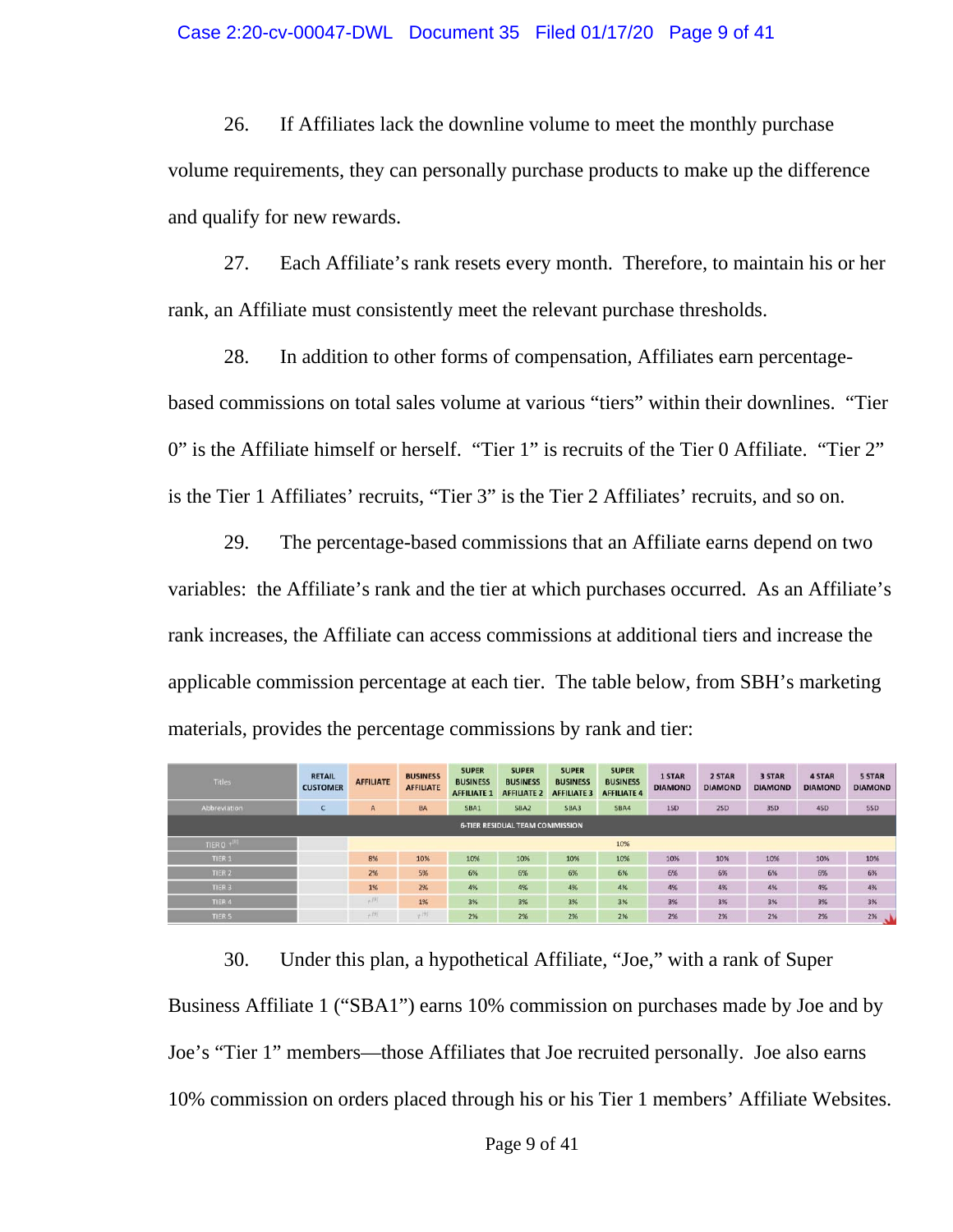#### Case 2:20-cv-00047-DWL Document 35 Filed 01/17/20 Page 9 of 41

26. If Affiliates lack the downline volume to meet the monthly purchase volume requirements, they can personally purchase products to make up the difference and qualify for new rewards.

27. Each Affiliate's rank resets every month. Therefore, to maintain his or her rank, an Affiliate must consistently meet the relevant purchase thresholds.

28. In addition to other forms of compensation, Affiliates earn percentagebased commissions on total sales volume at various "tiers" within their downlines. "Tier 0" is the Affiliate himself or herself. "Tier 1" is recruits of the Tier 0 Affiliate. "Tier 2" is the Tier 1 Affiliates' recruits, "Tier 3" is the Tier 2 Affiliates' recruits, and so on.

29. The percentage-based commissions that an Affiliate earns depend on two variables: the Affiliate's rank and the tier at which purchases occurred. As an Affiliate's rank increases, the Affiliate can access commissions at additional tiers and increase the applicable commission percentage at each tier. The table below, from SBH's marketing materials, provides the percentage commissions by rank and tier:

| <b>Titles</b>       | <b>RETAIL</b><br><b>CUSTOMER</b> | <b>AFFILIATE</b> | <b>BUSINESS</b><br><b>AFFILIATE</b> | <b>SUPER</b><br><b>BUSINESS</b><br><b>AFFILIATE 1</b> | <b>SUPER</b><br><b>BUSINESS</b><br><b>AFFILIATE 2</b> | <b>SUPER</b><br><b>BUSINESS</b><br><b>AFFILIATE 3</b> | <b>SUPER</b><br><b>BUSINESS</b><br><b>AFFILIATE 4</b> | 1 STAR<br><b>DIAMOND</b> | 2 STAR<br><b>DIAMOND</b> | 3 STAR<br><b>DIAMOND</b> | 4 STAR<br><b>DIAMOND</b> | <b>5 STAR</b><br><b>DIAMOND</b> |
|---------------------|----------------------------------|------------------|-------------------------------------|-------------------------------------------------------|-------------------------------------------------------|-------------------------------------------------------|-------------------------------------------------------|--------------------------|--------------------------|--------------------------|--------------------------|---------------------------------|
| <b>Abbreviation</b> |                                  | $\mathsf{A}$     | <b>BA</b>                           | SBA1                                                  | <b>SBA2</b>                                           | SBA3                                                  | SBA4                                                  | 1SD                      | 2SD                      | 3SD                      | 4SD                      | 5SD                             |
|                     |                                  |                  |                                     |                                                       | <b>6-TIER RESIDUAL TEAM COMMISSION</b>                |                                                       |                                                       |                          |                          |                          |                          |                                 |
| TIER 0 +            |                                  |                  |                                     |                                                       |                                                       |                                                       | 10%                                                   |                          |                          |                          |                          |                                 |
| TIER <sub>1</sub>   |                                  | 8%               | 10%                                 | 10%                                                   | 10%                                                   | 10%                                                   | 10%                                                   | 10%                      | 10%                      | 10%                      | 10%                      | 10%                             |
| TIER <sub>2</sub>   |                                  | 2%               | 5%                                  | 6%                                                    | 6%                                                    | 6%                                                    | 6%                                                    | 6%                       | 6%                       | 6%                       | 6%                       | 6%                              |
| TIER <sub>3</sub>   |                                  | 1%               | 2%                                  | 4%                                                    | 4%                                                    | 4%                                                    | 4%                                                    | 4%                       | 4%                       | 4%                       | 4%                       | 4%                              |
| TIER <sub>4</sub>   |                                  | $+191$           | 1%                                  | 3%                                                    | 3%                                                    | 3%                                                    | 3%                                                    | 3%                       | 3%                       | 3%                       | 3%                       | 3%                              |
| TIER <sub>5</sub>   |                                  | $+191$           | +问                                  | 2%                                                    | 2%                                                    | 2%                                                    | 2%                                                    | 2%                       | 2%                       | 2%                       | 2%                       | 2%                              |

30. Under this plan, a hypothetical Affiliate, "Joe," with a rank of Super Business Affiliate 1 ("SBA1") earns 10% commission on purchases made by Joe and by Joe's "Tier 1" members—those Affiliates that Joe recruited personally. Joe also earns 10% commission on orders placed through his or his Tier 1 members' Affiliate Websites.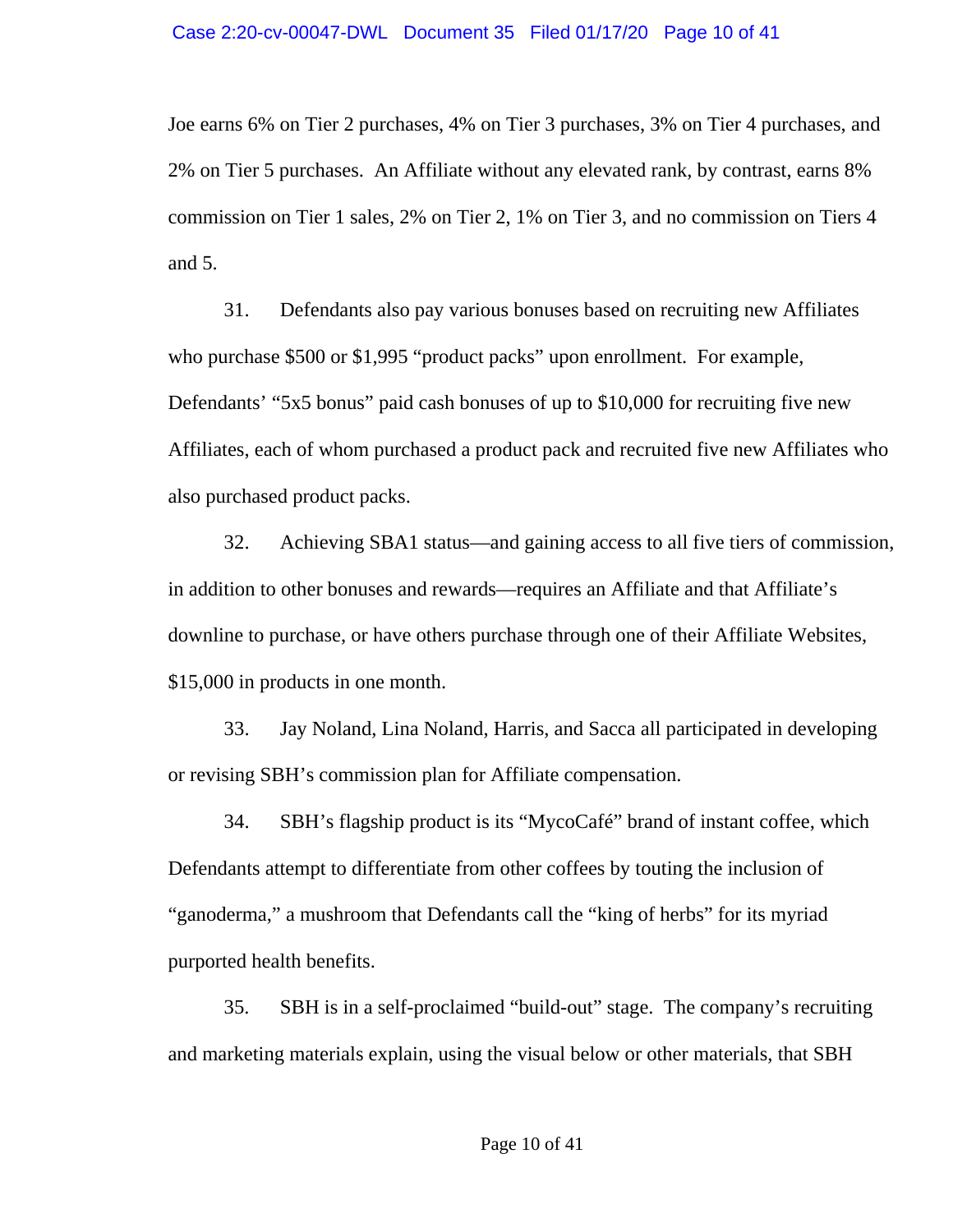Joe earns 6% on Tier 2 purchases, 4% on Tier 3 purchases, 3% on Tier 4 purchases, and 2% on Tier 5 purchases. An Affiliate without any elevated rank, by contrast, earns 8% commission on Tier 1 sales, 2% on Tier 2, 1% on Tier 3, and no commission on Tiers 4 and 5.

31. Defendants also pay various bonuses based on recruiting new Affiliates who purchase \$500 or \$1,995 "product packs" upon enrollment. For example, Defendants' "5x5 bonus" paid cash bonuses of up to \$10,000 for recruiting five new Affiliates, each of whom purchased a product pack and recruited five new Affiliates who also purchased product packs.

32. Achieving SBA1 status—and gaining access to all five tiers of commission, in addition to other bonuses and rewards—requires an Affiliate and that Affiliate's downline to purchase, or have others purchase through one of their Affiliate Websites, \$15,000 in products in one month.

33. Jay Noland, Lina Noland, Harris, and Sacca all participated in developing or revising SBH's commission plan for Affiliate compensation.

34. SBH's flagship product is its "MycoCafé" brand of instant coffee, which Defendants attempt to differentiate from other coffees by touting the inclusion of "ganoderma," a mushroom that Defendants call the "king of herbs" for its myriad purported health benefits.

35. SBH is in a self-proclaimed "build-out" stage. The company's recruiting and marketing materials explain, using the visual below or other materials, that SBH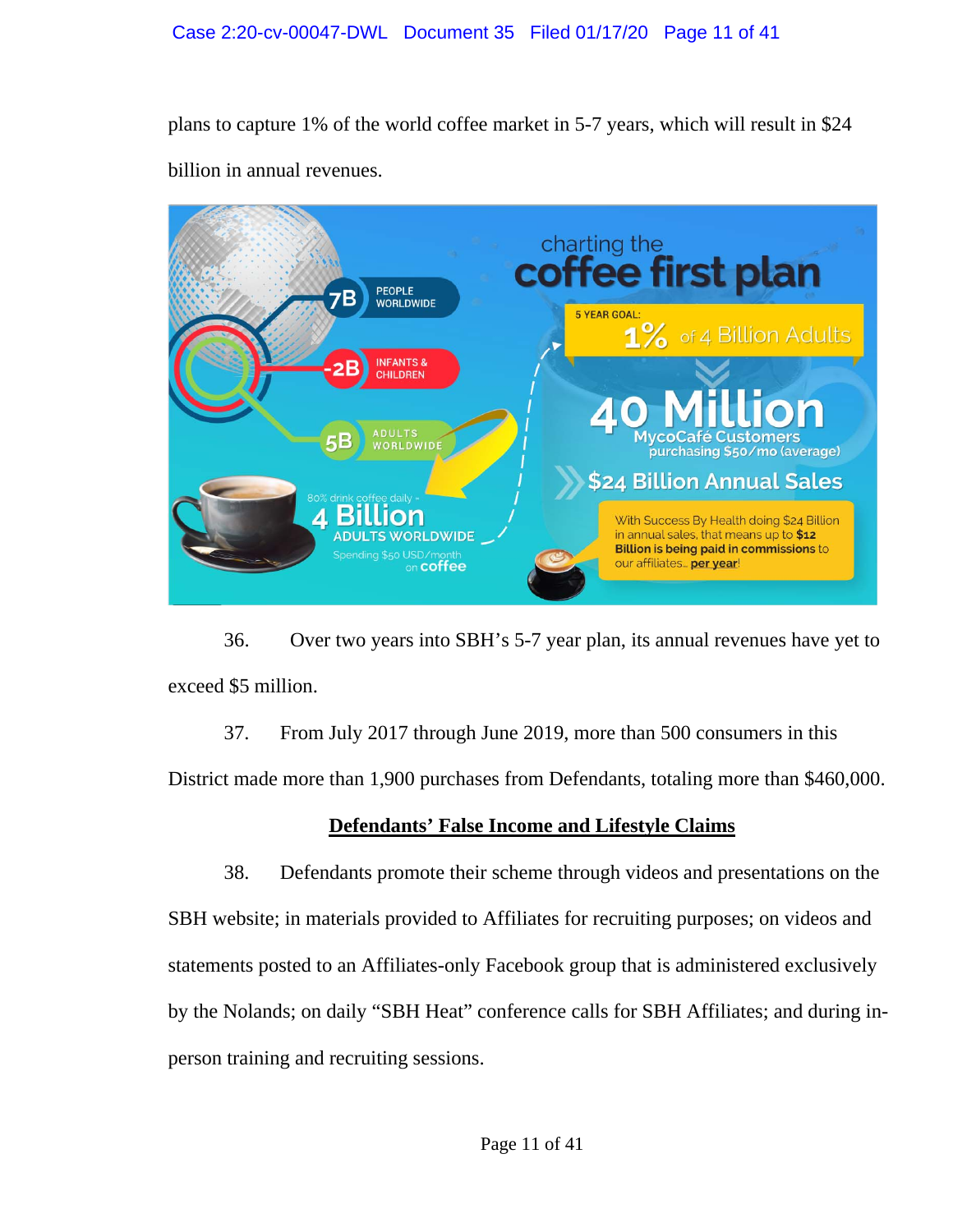plans to capture 1% of the world coffee market in 5-7 years, which will result in \$24 billion in annual revenues.



36. Over two years into SBH's 5-7 year plan, its annual revenues have yet to exceed \$5 million.

37. From July 2017 through June 2019, more than 500 consumers in this

District made more than 1,900 purchases from Defendants, totaling more than \$460,000.

# **Defendants' False Income and Lifestyle Claims**

38. Defendants promote their scheme through videos and presentations on the SBH website; in materials provided to Affiliates for recruiting purposes; on videos and statements posted to an Affiliates-only Facebook group that is administered exclusively by the Nolands; on daily "SBH Heat" conference calls for SBH Affiliates; and during inperson training and recruiting sessions.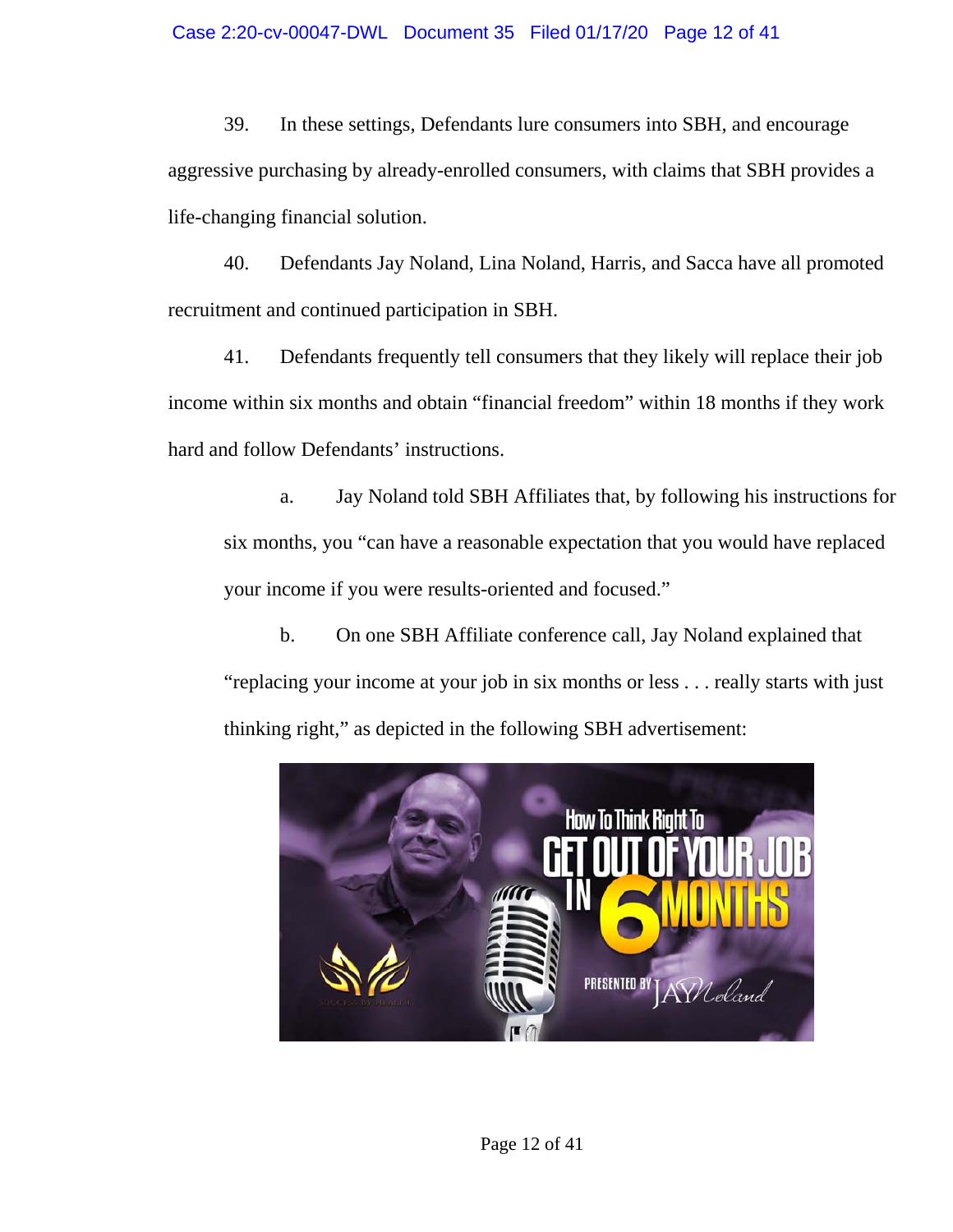### Case 2:20-cv-00047-DWL Document 35 Filed 01/17/20 Page 12 of 41

39. In these settings, Defendants lure consumers into SBH, and encourage aggressive purchasing by already-enrolled consumers, with claims that SBH provides a life-changing financial solution.

40. Defendants Jay Noland, Lina Noland, Harris, and Sacca have all promoted recruitment and continued participation in SBH.

41. Defendants frequently tell consumers that they likely will replace their job income within six months and obtain "financial freedom" within 18 months if they work hard and follow Defendants' instructions.

a. Jay Noland told SBH Affiliates that, by following his instructions for six months, you "can have a reasonable expectation that you would have replaced your income if you were results-oriented and focused."

b. On one SBH Affiliate conference call, Jay Noland explained that "replacing your income at your job in six months or less . . . really starts with just thinking right," as depicted in the following SBH advertisement:



Page 12 of 41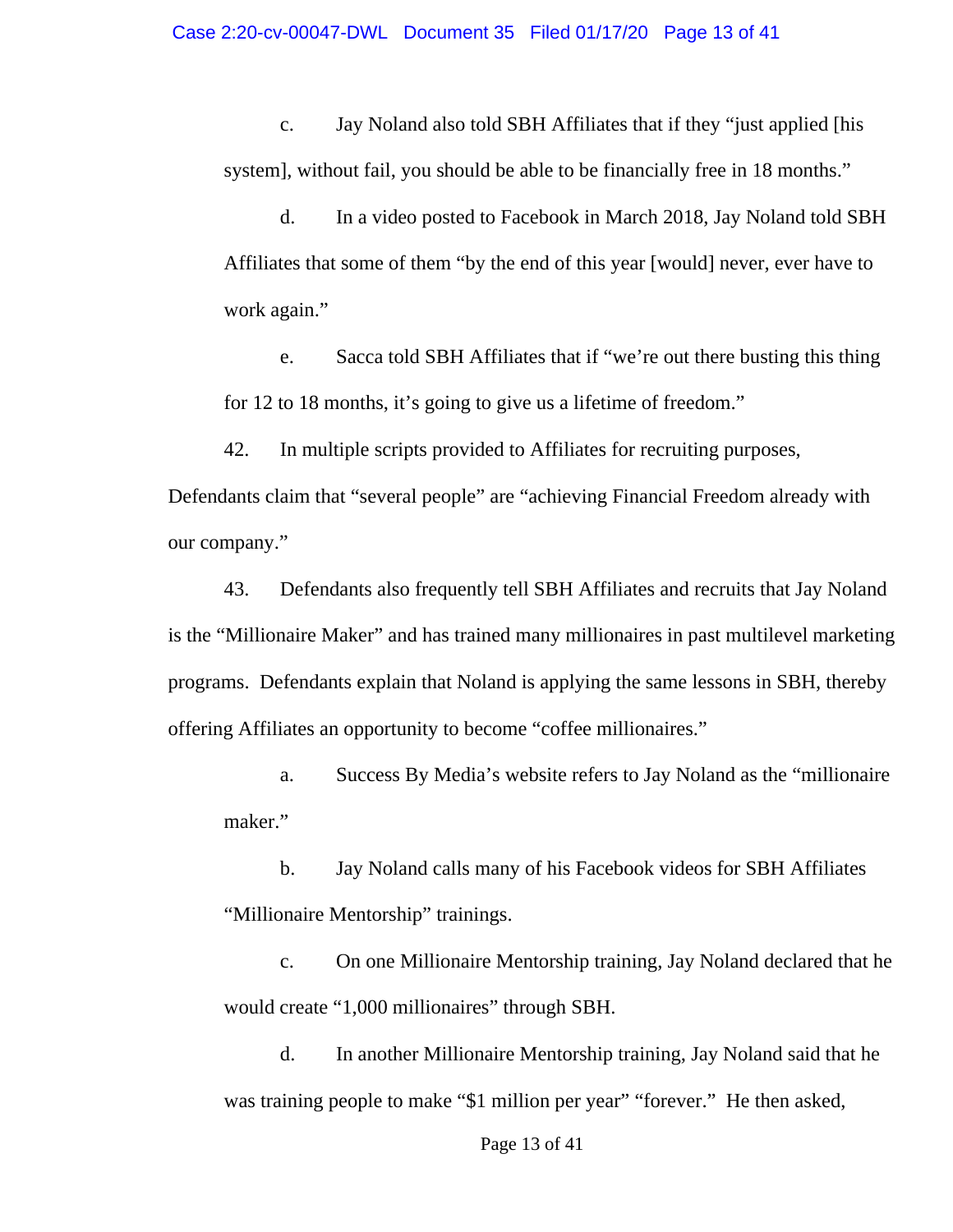c. Jay Noland also told SBH Affiliates that if they "just applied [his system], without fail, you should be able to be financially free in 18 months."

d. In a video posted to Facebook in March 2018, Jay Noland told SBH Affiliates that some of them "by the end of this year [would] never, ever have to work again."

e. Sacca told SBH Affiliates that if "we're out there busting this thing for 12 to 18 months, it's going to give us a lifetime of freedom."

42. In multiple scripts provided to Affiliates for recruiting purposes,

Defendants claim that "several people" are "achieving Financial Freedom already with our company."

43. Defendants also frequently tell SBH Affiliates and recruits that Jay Noland is the "Millionaire Maker" and has trained many millionaires in past multilevel marketing programs. Defendants explain that Noland is applying the same lessons in SBH, thereby offering Affiliates an opportunity to become "coffee millionaires."

a. Success By Media's website refers to Jay Noland as the "millionaire maker."

b. Jay Noland calls many of his Facebook videos for SBH Affiliates "Millionaire Mentorship" trainings.

c. On one Millionaire Mentorship training, Jay Noland declared that he would create "1,000 millionaires" through SBH.

d. In another Millionaire Mentorship training, Jay Noland said that he was training people to make "\$1 million per year" "forever." He then asked,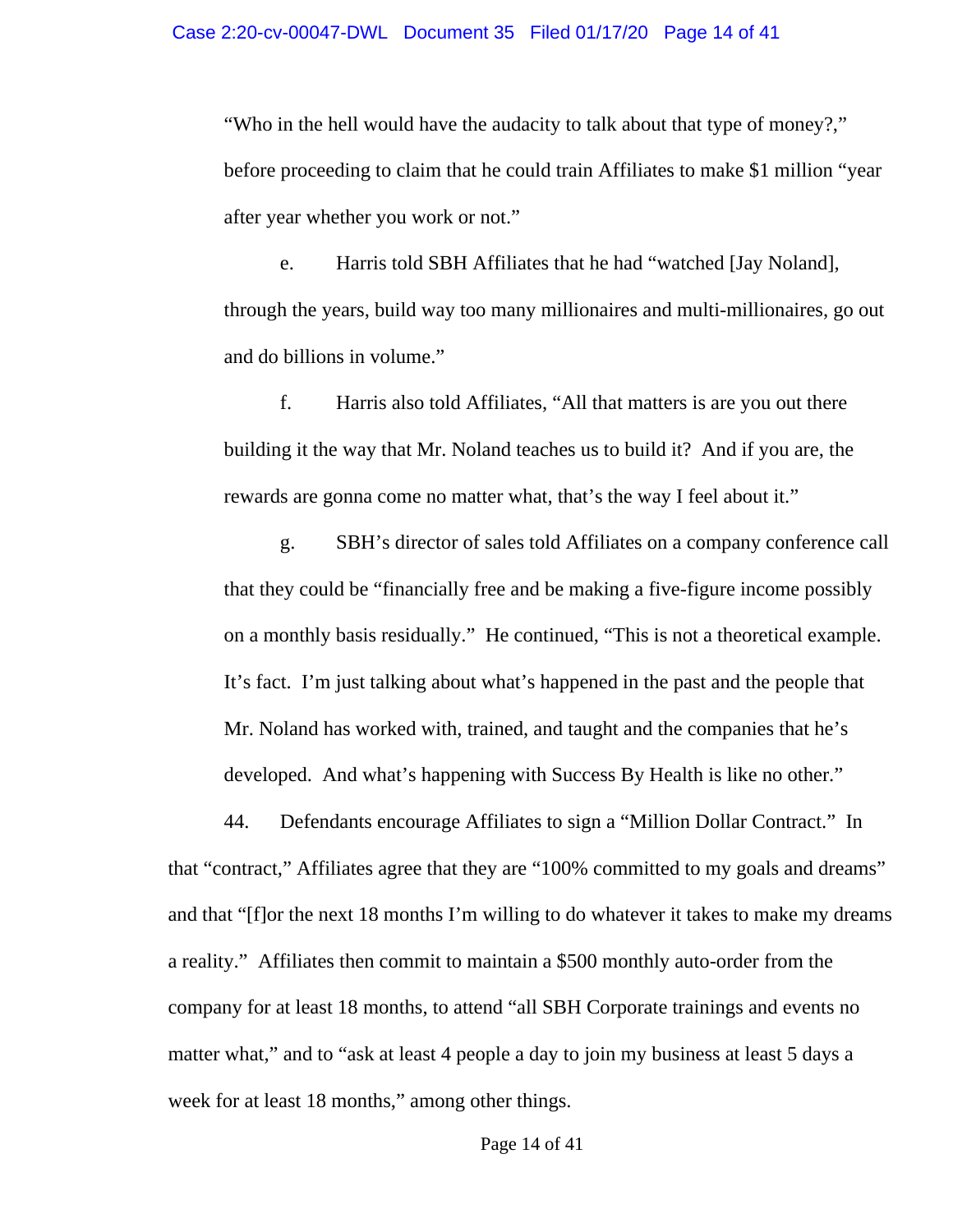"Who in the hell would have the audacity to talk about that type of money?," before proceeding to claim that he could train Affiliates to make \$1 million "year after year whether you work or not."

e. Harris told SBH Affiliates that he had "watched [Jay Noland], through the years, build way too many millionaires and multi-millionaires, go out and do billions in volume."

f. Harris also told Affiliates, "All that matters is are you out there building it the way that Mr. Noland teaches us to build it? And if you are, the rewards are gonna come no matter what, that's the way I feel about it."

g. SBH's director of sales told Affiliates on a company conference call that they could be "financially free and be making a five-figure income possibly on a monthly basis residually." He continued, "This is not a theoretical example. It's fact. I'm just talking about what's happened in the past and the people that Mr. Noland has worked with, trained, and taught and the companies that he's developed. And what's happening with Success By Health is like no other."

44. Defendants encourage Affiliates to sign a "Million Dollar Contract." In that "contract," Affiliates agree that they are "100% committed to my goals and dreams" and that "[f]or the next 18 months I'm willing to do whatever it takes to make my dreams a reality." Affiliates then commit to maintain a \$500 monthly auto-order from the company for at least 18 months, to attend "all SBH Corporate trainings and events no matter what," and to "ask at least 4 people a day to join my business at least 5 days a week for at least 18 months," among other things.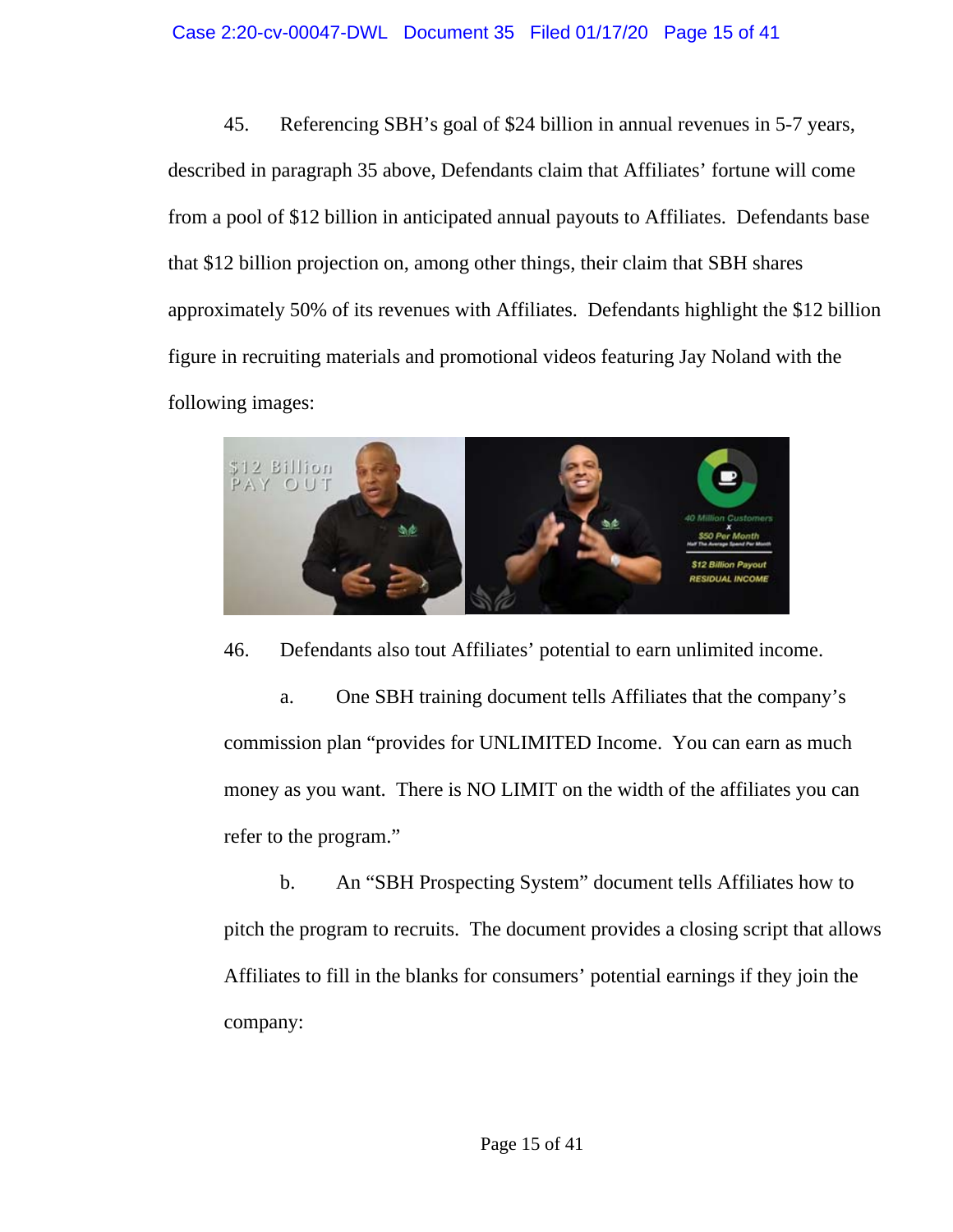### Case 2:20-cv-00047-DWL Document 35 Filed 01/17/20 Page 15 of 41

45. Referencing SBH's goal of \$24 billion in annual revenues in 5-7 years, described in paragraph 35 above, Defendants claim that Affiliates' fortune will come from a pool of \$12 billion in anticipated annual payouts to Affiliates. Defendants base that \$12 billion projection on, among other things, their claim that SBH shares approximately 50% of its revenues with Affiliates. Defendants highlight the \$12 billion figure in recruiting materials and promotional videos featuring Jay Noland with the following images:



46. Defendants also tout Affiliates' potential to earn unlimited income.

a. One SBH training document tells Affiliates that the company's commission plan "provides for UNLIMITED Income. You can earn as much money as you want. There is NO LIMIT on the width of the affiliates you can refer to the program."

b. An "SBH Prospecting System" document tells Affiliates how to pitch the program to recruits. The document provides a closing script that allows Affiliates to fill in the blanks for consumers' potential earnings if they join the company: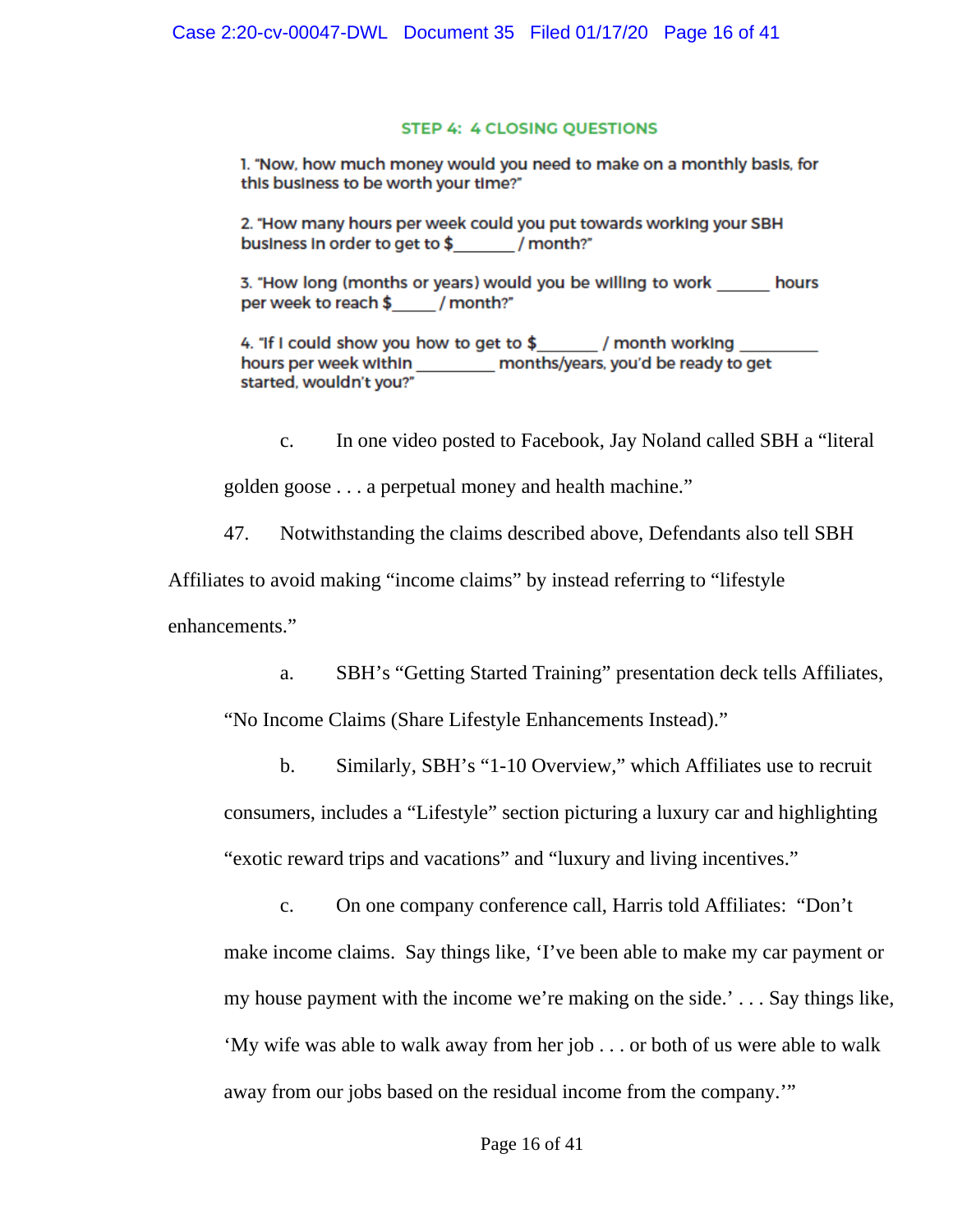#### **STEP 4: 4 CLOSING QUESTIONS**

1. "Now, how much money would you need to make on a monthly basis, for this business to be worth your time?"

2. "How many hours per week could you put towards working your SBH business in order to get to \$ / month?"

3. "How long (months or years) would you be willing to work hours per week to reach \$ / month?"

4. "If I could show you how to get to  $$$  / month working hours per week within months/years, you'd be ready to get started, wouldn't you?"

c. In one video posted to Facebook, Jay Noland called SBH a "literal golden goose . . . a perpetual money and health machine."

47. Notwithstanding the claims described above, Defendants also tell SBH

Affiliates to avoid making "income claims" by instead referring to "lifestyle

enhancements."

a. SBH's "Getting Started Training" presentation deck tells Affiliates, "No Income Claims (Share Lifestyle Enhancements Instead)."

b. Similarly, SBH's "1-10 Overview," which Affiliates use to recruit consumers, includes a "Lifestyle" section picturing a luxury car and highlighting "exotic reward trips and vacations" and "luxury and living incentives."

c. On one company conference call, Harris told Affiliates: "Don't make income claims. Say things like, 'I've been able to make my car payment or my house payment with the income we're making on the side.' . . . Say things like, 'My wife was able to walk away from her job . . . or both of us were able to walk away from our jobs based on the residual income from the company.'"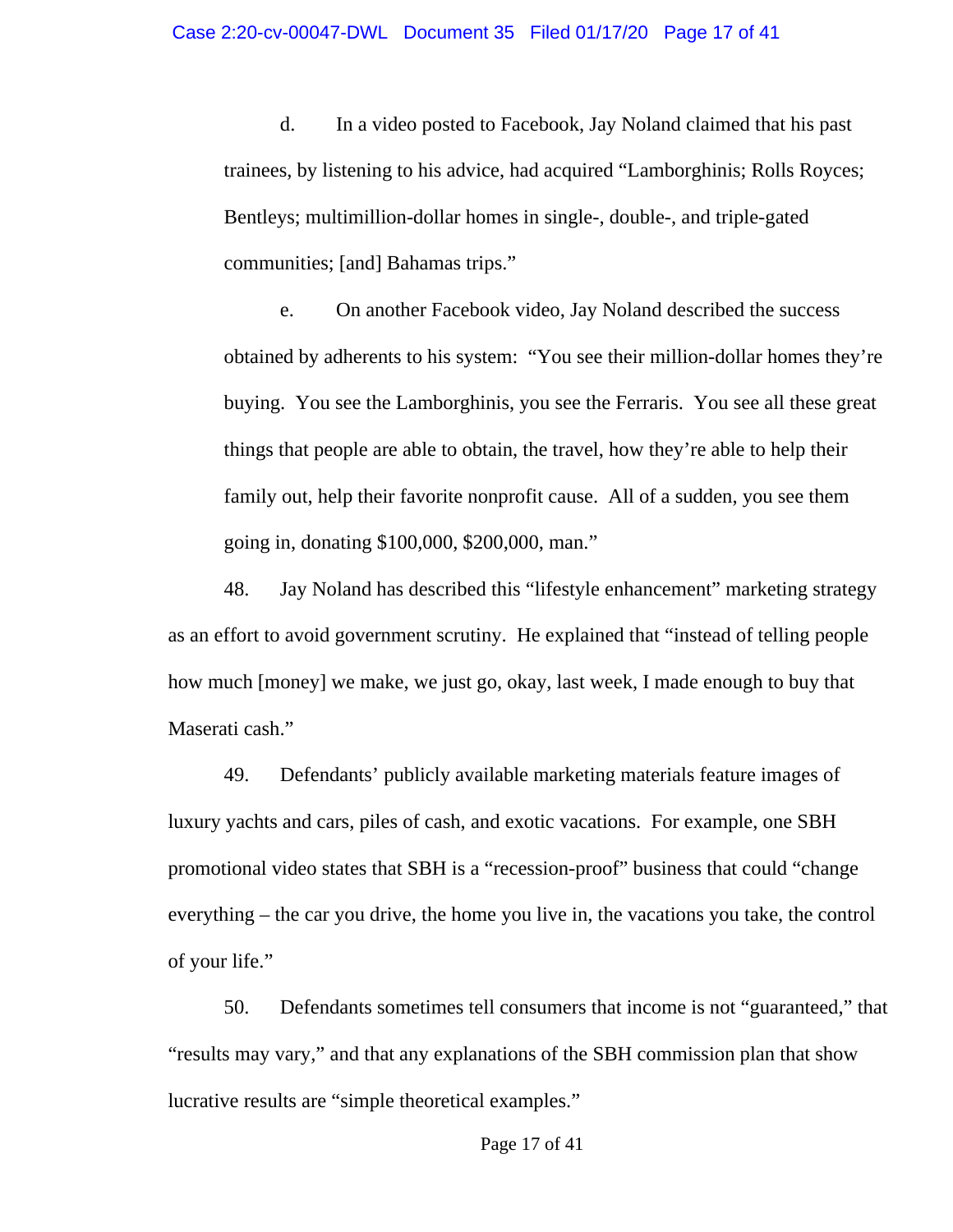d. In a video posted to Facebook, Jay Noland claimed that his past trainees, by listening to his advice, had acquired "Lamborghinis; Rolls Royces; Bentleys; multimillion-dollar homes in single-, double-, and triple-gated communities; [and] Bahamas trips."

e. On another Facebook video, Jay Noland described the success obtained by adherents to his system: "You see their million-dollar homes they're buying. You see the Lamborghinis, you see the Ferraris. You see all these great things that people are able to obtain, the travel, how they're able to help their family out, help their favorite nonprofit cause. All of a sudden, you see them going in, donating \$100,000, \$200,000, man."

48. Jay Noland has described this "lifestyle enhancement" marketing strategy as an effort to avoid government scrutiny. He explained that "instead of telling people how much [money] we make, we just go, okay, last week, I made enough to buy that Maserati cash."

49. Defendants' publicly available marketing materials feature images of luxury yachts and cars, piles of cash, and exotic vacations. For example, one SBH promotional video states that SBH is a "recession-proof" business that could "change everything – the car you drive, the home you live in, the vacations you take, the control of your life."

50. Defendants sometimes tell consumers that income is not "guaranteed," that "results may vary," and that any explanations of the SBH commission plan that show lucrative results are "simple theoretical examples."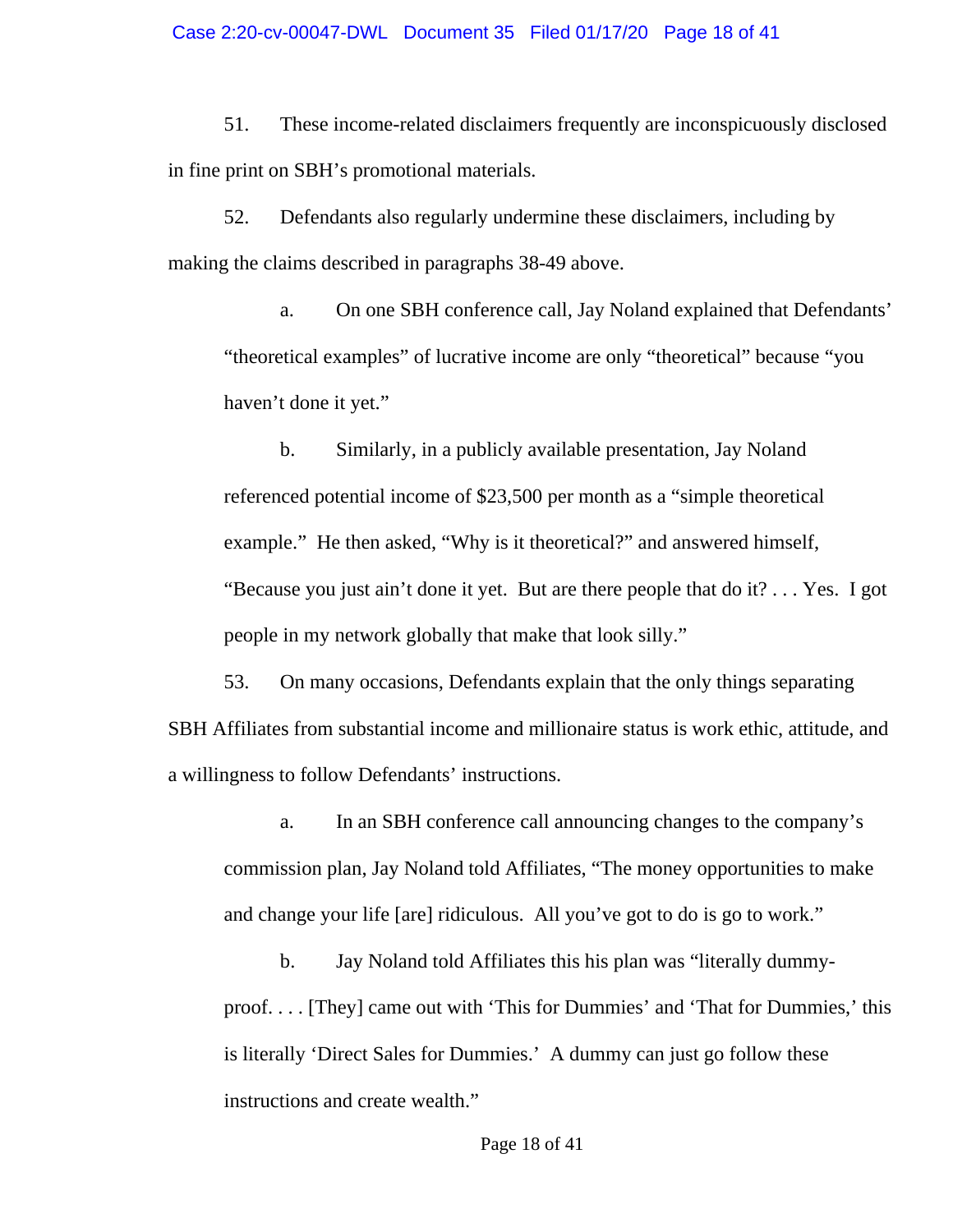51. These income-related disclaimers frequently are inconspicuously disclosed in fine print on SBH's promotional materials.

52. Defendants also regularly undermine these disclaimers, including by making the claims described in paragraphs 38-49 above.

a. On one SBH conference call, Jay Noland explained that Defendants' "theoretical examples" of lucrative income are only "theoretical" because "you haven't done it yet."

b. Similarly, in a publicly available presentation, Jay Noland referenced potential income of \$23,500 per month as a "simple theoretical example." He then asked, "Why is it theoretical?" and answered himself, "Because you just ain't done it yet. But are there people that do it? . . . Yes. I got people in my network globally that make that look silly."

53. On many occasions, Defendants explain that the only things separating SBH Affiliates from substantial income and millionaire status is work ethic, attitude, and a willingness to follow Defendants' instructions.

a. In an SBH conference call announcing changes to the company's commission plan, Jay Noland told Affiliates, "The money opportunities to make and change your life [are] ridiculous. All you've got to do is go to work."

b. Jay Noland told Affiliates this his plan was "literally dummyproof. . . . [They] came out with 'This for Dummies' and 'That for Dummies,' this is literally 'Direct Sales for Dummies.' A dummy can just go follow these instructions and create wealth."

Page 18 of 41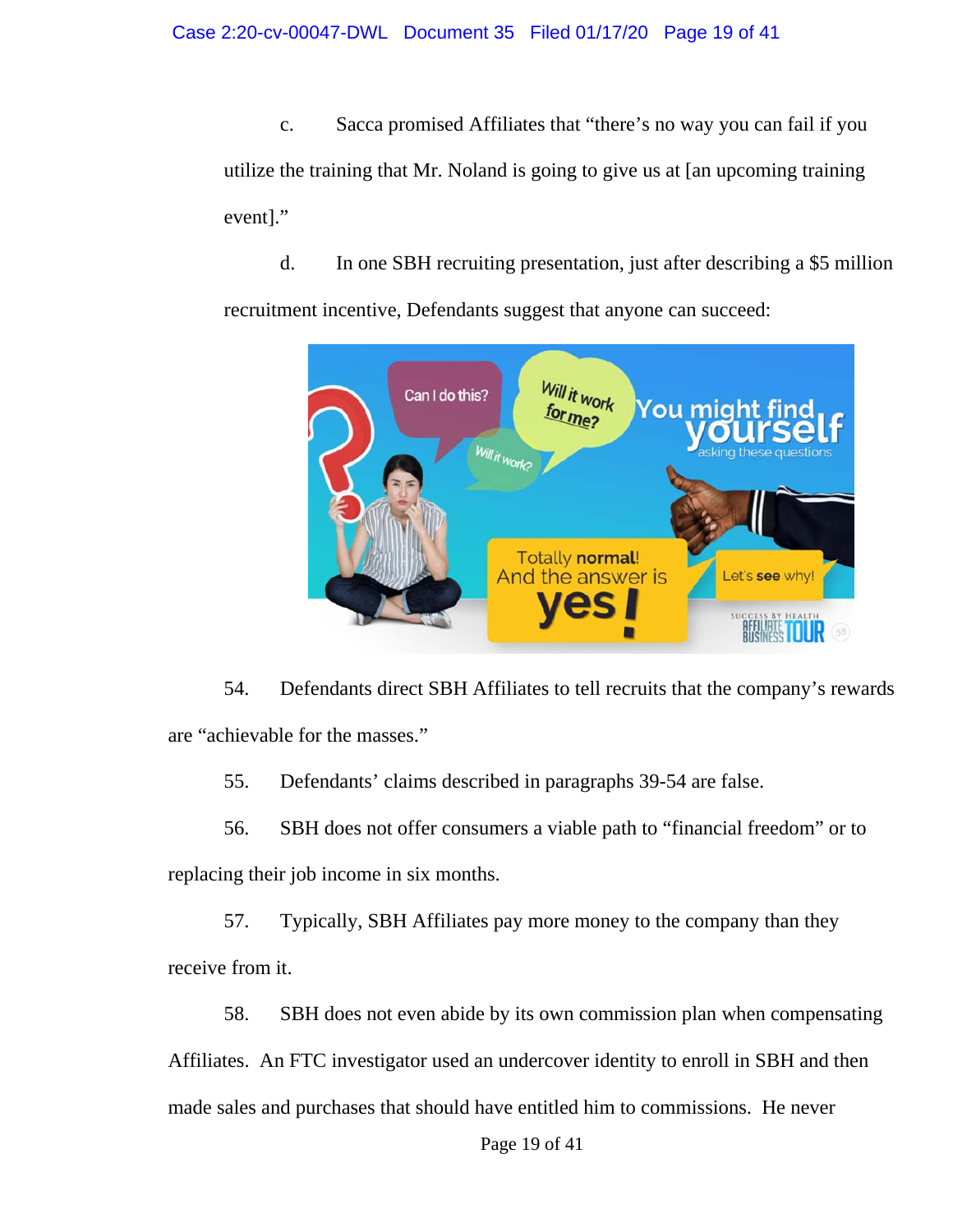c. Sacca promised Affiliates that "there's no way you can fail if you utilize the training that Mr. Noland is going to give us at [an upcoming training event]."

d. In one SBH recruiting presentation, just after describing a \$5 million recruitment incentive, Defendants suggest that anyone can succeed:



54. Defendants direct SBH Affiliates to tell recruits that the company's rewards are "achievable for the masses."

55. Defendants' claims described in paragraphs 39-54 are false.

56. SBH does not offer consumers a viable path to "financial freedom" or to

replacing their job income in six months.

57. Typically, SBH Affiliates pay more money to the company than they receive from it.

58. SBH does not even abide by its own commission plan when compensating Affiliates. An FTC investigator used an undercover identity to enroll in SBH and then made sales and purchases that should have entitled him to commissions. He never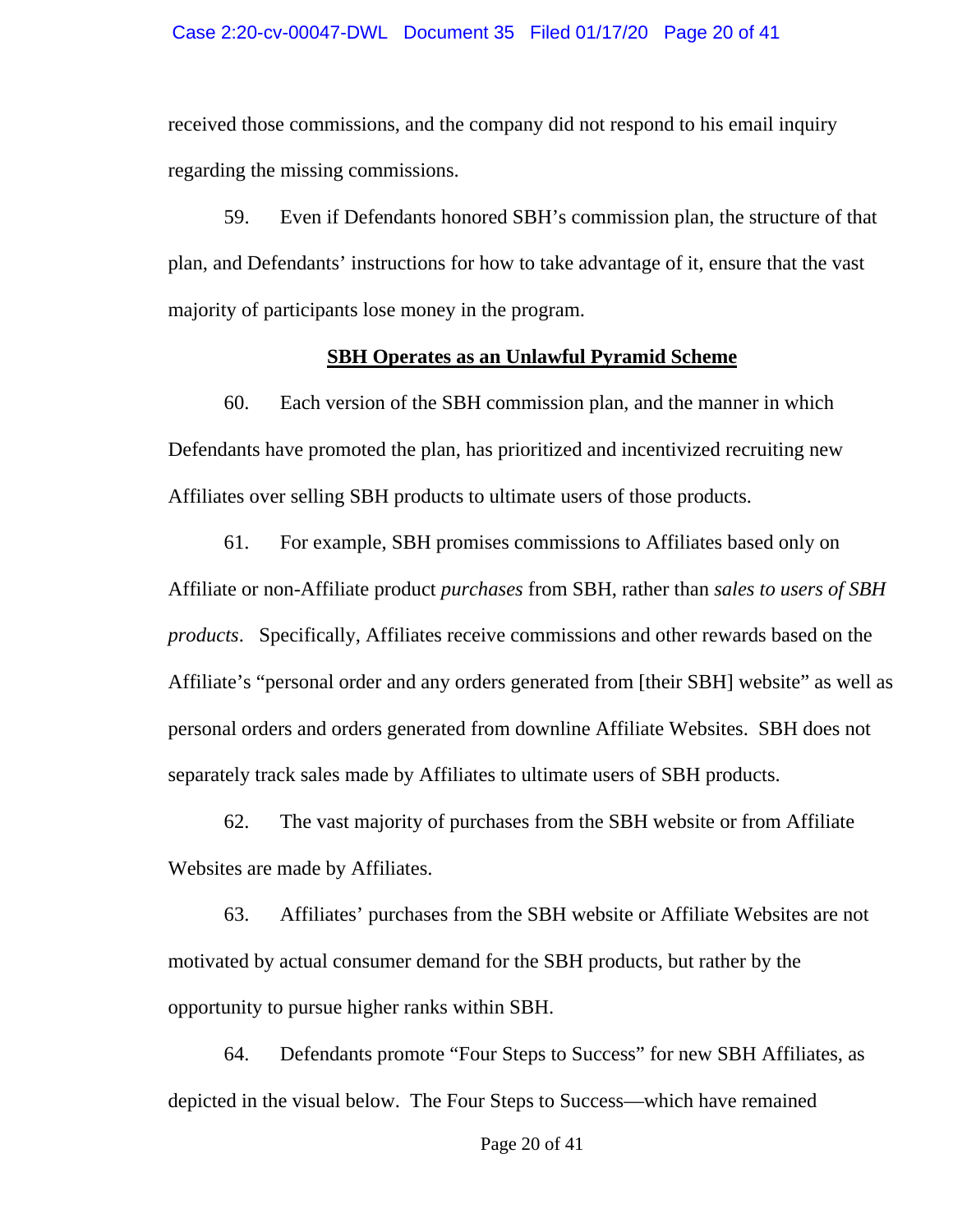received those commissions, and the company did not respond to his email inquiry regarding the missing commissions.

59. Even if Defendants honored SBH's commission plan, the structure of that plan, and Defendants' instructions for how to take advantage of it, ensure that the vast majority of participants lose money in the program.

### **SBH Operates as an Unlawful Pyramid Scheme**

60. Each version of the SBH commission plan, and the manner in which Defendants have promoted the plan, has prioritized and incentivized recruiting new Affiliates over selling SBH products to ultimate users of those products.

61. For example, SBH promises commissions to Affiliates based only on Affiliate or non-Affiliate product *purchases* from SBH, rather than *sales to users of SBH products*. Specifically, Affiliates receive commissions and other rewards based on the Affiliate's "personal order and any orders generated from [their SBH] website" as well as personal orders and orders generated from downline Affiliate Websites. SBH does not separately track sales made by Affiliates to ultimate users of SBH products.

62. The vast majority of purchases from the SBH website or from Affiliate Websites are made by Affiliates.

63. Affiliates' purchases from the SBH website or Affiliate Websites are not motivated by actual consumer demand for the SBH products, but rather by the opportunity to pursue higher ranks within SBH.

64. Defendants promote "Four Steps to Success" for new SBH Affiliates, as depicted in the visual below. The Four Steps to Success—which have remained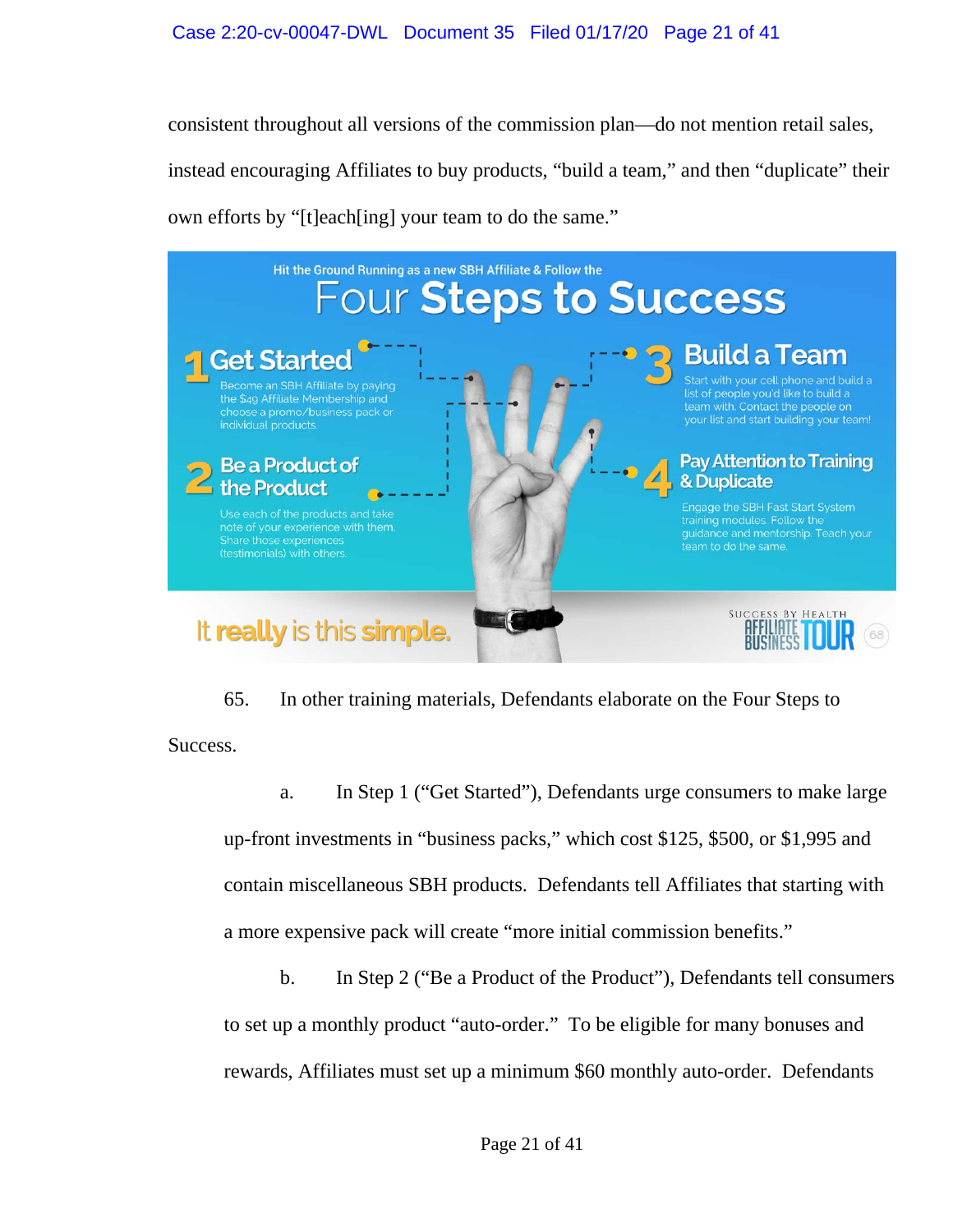consistent throughout all versions of the commission plan—do not mention retail sales, instead encouraging Affiliates to buy products, "build a team," and then "duplicate" their own efforts by "[t]each[ing] your team to do the same."



65. In other training materials, Defendants elaborate on the Four Steps to Success.

a. In Step 1 ("Get Started"), Defendants urge consumers to make large up-front investments in "business packs," which cost \$125, \$500, or \$1,995 and contain miscellaneous SBH products. Defendants tell Affiliates that starting with a more expensive pack will create "more initial commission benefits."

b. In Step 2 ("Be a Product of the Product"), Defendants tell consumers to set up a monthly product "auto-order." To be eligible for many bonuses and rewards, Affiliates must set up a minimum \$60 monthly auto-order. Defendants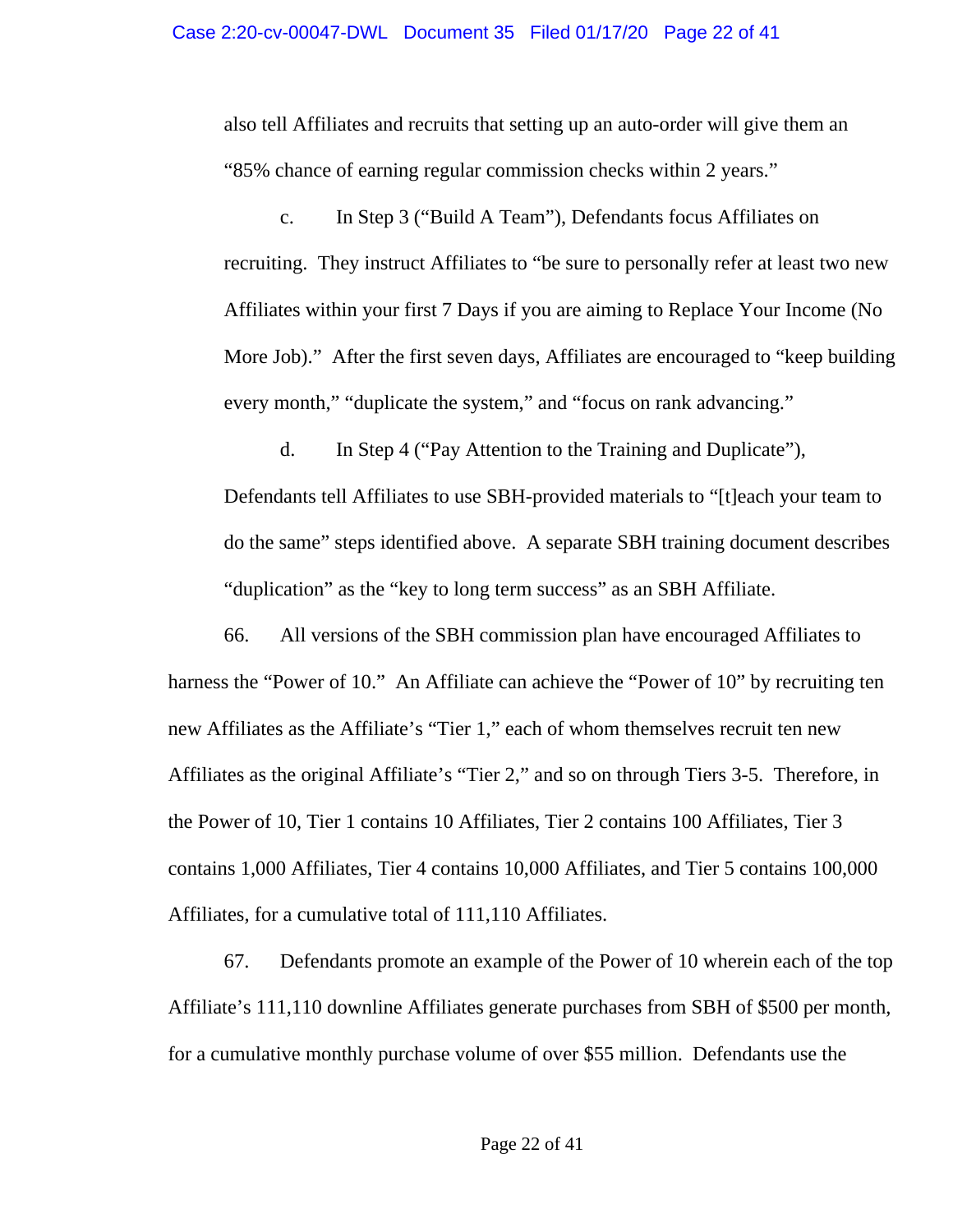also tell Affiliates and recruits that setting up an auto-order will give them an "85% chance of earning regular commission checks within 2 years."

c. In Step 3 ("Build A Team"), Defendants focus Affiliates on recruiting. They instruct Affiliates to "be sure to personally refer at least two new Affiliates within your first 7 Days if you are aiming to Replace Your Income (No More Job)." After the first seven days, Affiliates are encouraged to "keep building every month," "duplicate the system," and "focus on rank advancing."

d. In Step 4 ("Pay Attention to the Training and Duplicate"), Defendants tell Affiliates to use SBH-provided materials to "[t]each your team to do the same" steps identified above. A separate SBH training document describes "duplication" as the "key to long term success" as an SBH Affiliate.

66. All versions of the SBH commission plan have encouraged Affiliates to harness the "Power of 10." An Affiliate can achieve the "Power of 10" by recruiting ten new Affiliates as the Affiliate's "Tier 1," each of whom themselves recruit ten new Affiliates as the original Affiliate's "Tier 2," and so on through Tiers 3-5. Therefore, in the Power of 10, Tier 1 contains 10 Affiliates, Tier 2 contains 100 Affiliates, Tier 3 contains 1,000 Affiliates, Tier 4 contains 10,000 Affiliates, and Tier 5 contains 100,000 Affiliates, for a cumulative total of 111,110 Affiliates.

67. Defendants promote an example of the Power of 10 wherein each of the top Affiliate's 111,110 downline Affiliates generate purchases from SBH of \$500 per month, for a cumulative monthly purchase volume of over \$55 million. Defendants use the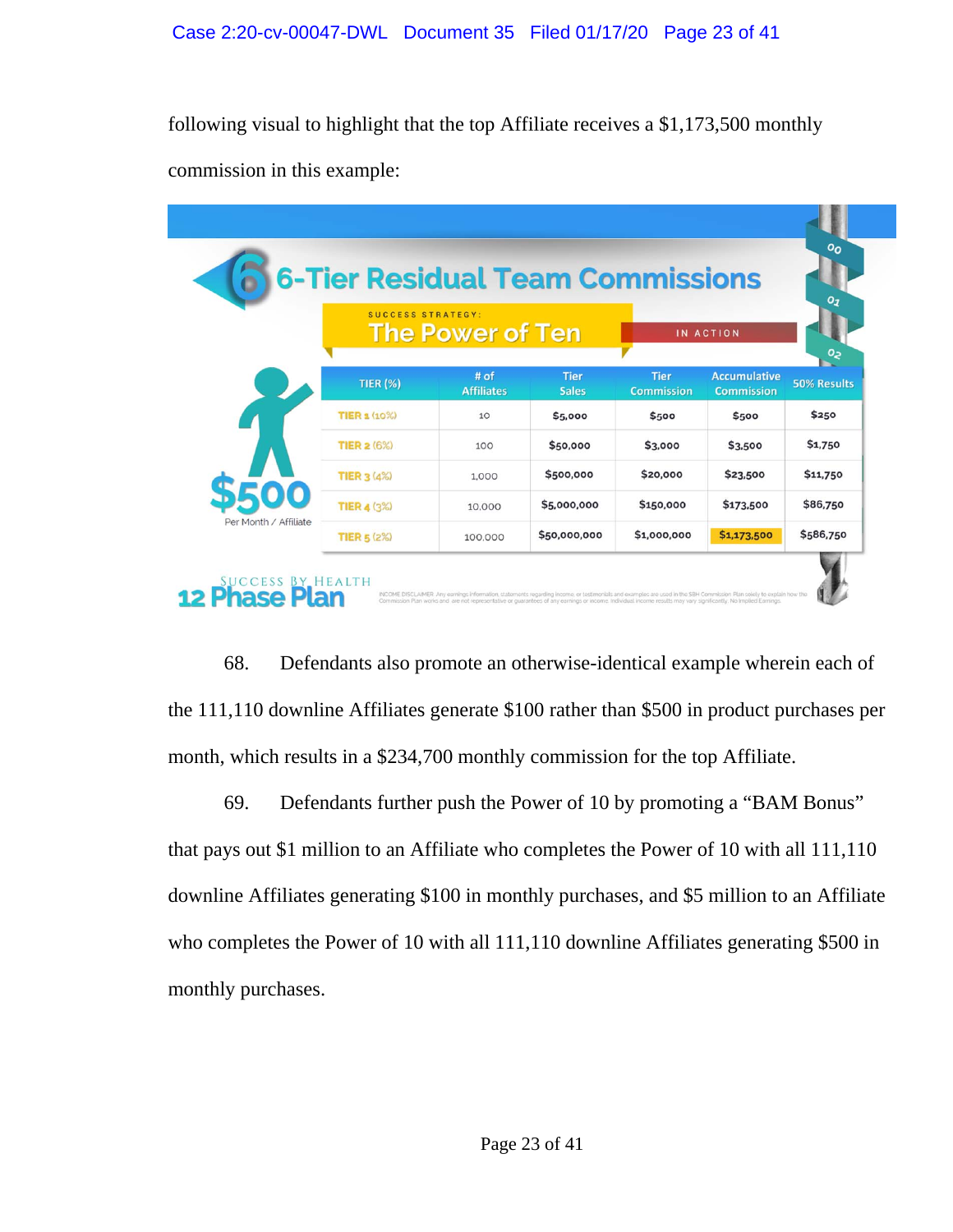following visual to highlight that the top Affiliate receives a \$1,173,500 monthly commission in this example:

|                       | <b>SUCCESS STRATEGY:</b> | <b>The Power of Ten</b>   |                             |                                  | IN ACTION                                | $Q_{J}$            |
|-----------------------|--------------------------|---------------------------|-----------------------------|----------------------------------|------------------------------------------|--------------------|
|                       |                          |                           |                             |                                  |                                          | ς٥                 |
|                       | <b>TIER (%)</b>          | # of<br><b>Affiliates</b> | <b>Tier</b><br><b>Sales</b> | <b>Tier</b><br><b>Commission</b> | <b>Accumulative</b><br><b>Commission</b> | <b>50% Results</b> |
|                       | <b>TIER 1 (10%)</b>      | 10                        | \$5,000                     | \$500                            | \$500                                    | \$250              |
|                       | <b>TIER 2 (6%)</b>       | 100                       | \$50,000                    | \$3,000                          | \$3,500                                  | \$1,750            |
|                       | <b>TIER 3 (4%)</b>       | 1,000                     | \$500,000                   | \$20,000                         | \$23,500                                 | \$11,750           |
|                       | <b>TIER 4 (3%)</b>       | 10.000                    | \$5,000,000                 | \$150,000                        | \$173,500                                | \$86,750           |
| Per Month / Affiliate | <b>TIER 5 (2%)</b>       | 100,000                   | \$50,000,000                | \$1,000,000                      | \$1,173,500                              | \$586,750          |

68. Defendants also promote an otherwise-identical example wherein each of the 111,110 downline Affiliates generate \$100 rather than \$500 in product purchases per month, which results in a \$234,700 monthly commission for the top Affiliate.

69. Defendants further push the Power of 10 by promoting a "BAM Bonus" that pays out \$1 million to an Affiliate who completes the Power of 10 with all 111,110 downline Affiliates generating \$100 in monthly purchases, and \$5 million to an Affiliate who completes the Power of 10 with all 111,110 downline Affiliates generating \$500 in monthly purchases.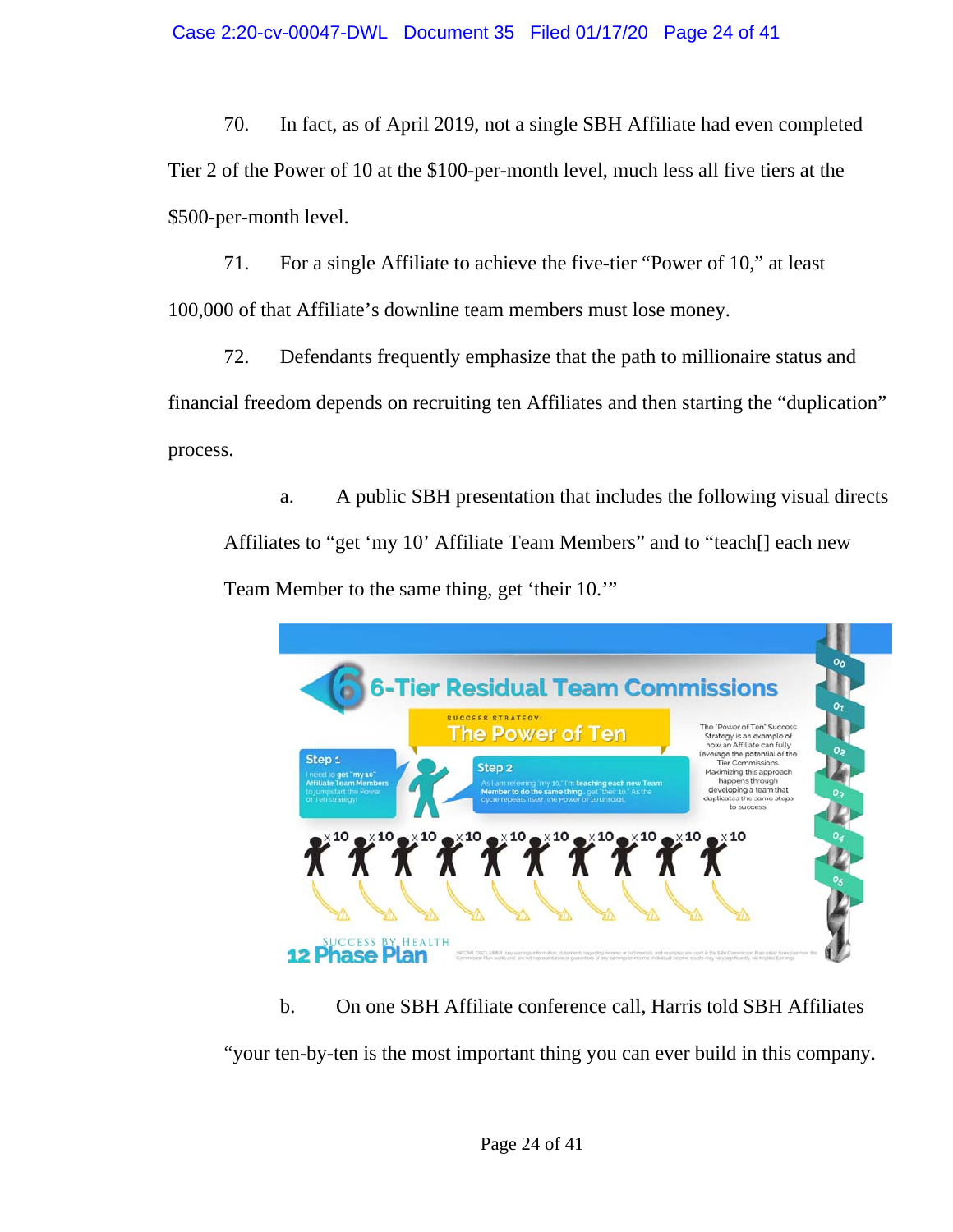70. In fact, as of April 2019, not a single SBH Affiliate had even completed Tier 2 of the Power of 10 at the \$100-per-month level, much less all five tiers at the \$500-per-month level.

71. For a single Affiliate to achieve the five-tier "Power of 10," at least 100,000 of that Affiliate's downline team members must lose money.

72. Defendants frequently emphasize that the path to millionaire status and financial freedom depends on recruiting ten Affiliates and then starting the "duplication" process.

a. A public SBH presentation that includes the following visual directs Affiliates to "get 'my 10' Affiliate Team Members" and to "teach[] each new Team Member to the same thing, get 'their 10.'"



b. On one SBH Affiliate conference call, Harris told SBH Affiliates "your ten-by-ten is the most important thing you can ever build in this company.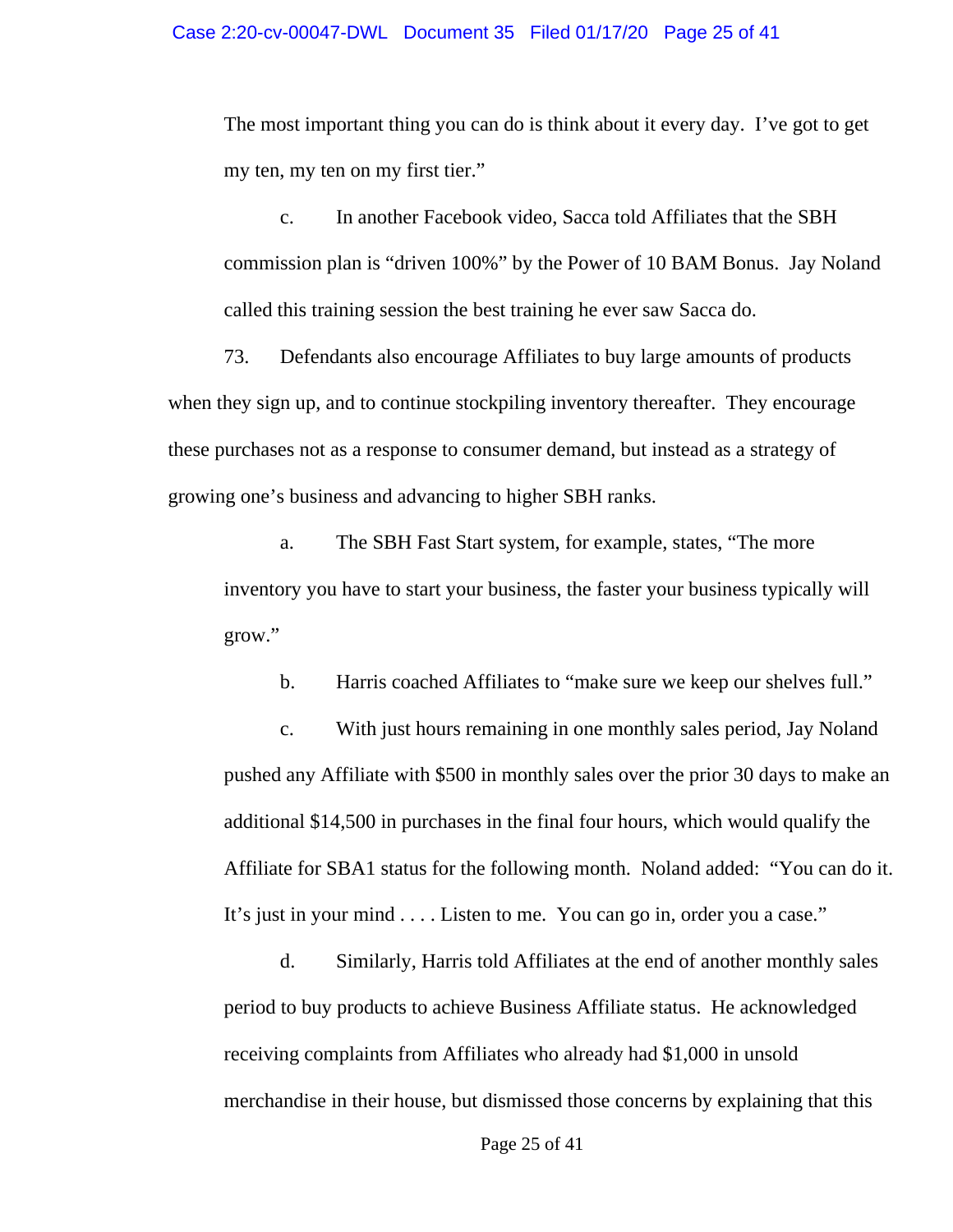The most important thing you can do is think about it every day. I've got to get my ten, my ten on my first tier."

c. In another Facebook video, Sacca told Affiliates that the SBH commission plan is "driven 100%" by the Power of 10 BAM Bonus. Jay Noland called this training session the best training he ever saw Sacca do.

73. Defendants also encourage Affiliates to buy large amounts of products when they sign up, and to continue stockpiling inventory thereafter. They encourage these purchases not as a response to consumer demand, but instead as a strategy of growing one's business and advancing to higher SBH ranks.

a. The SBH Fast Start system, for example, states, "The more inventory you have to start your business, the faster your business typically will grow."

b. Harris coached Affiliates to "make sure we keep our shelves full."

c. With just hours remaining in one monthly sales period, Jay Noland pushed any Affiliate with \$500 in monthly sales over the prior 30 days to make an additional \$14,500 in purchases in the final four hours, which would qualify the Affiliate for SBA1 status for the following month. Noland added: "You can do it. It's just in your mind . . . . Listen to me. You can go in, order you a case."

d. Similarly, Harris told Affiliates at the end of another monthly sales period to buy products to achieve Business Affiliate status. He acknowledged receiving complaints from Affiliates who already had \$1,000 in unsold merchandise in their house, but dismissed those concerns by explaining that this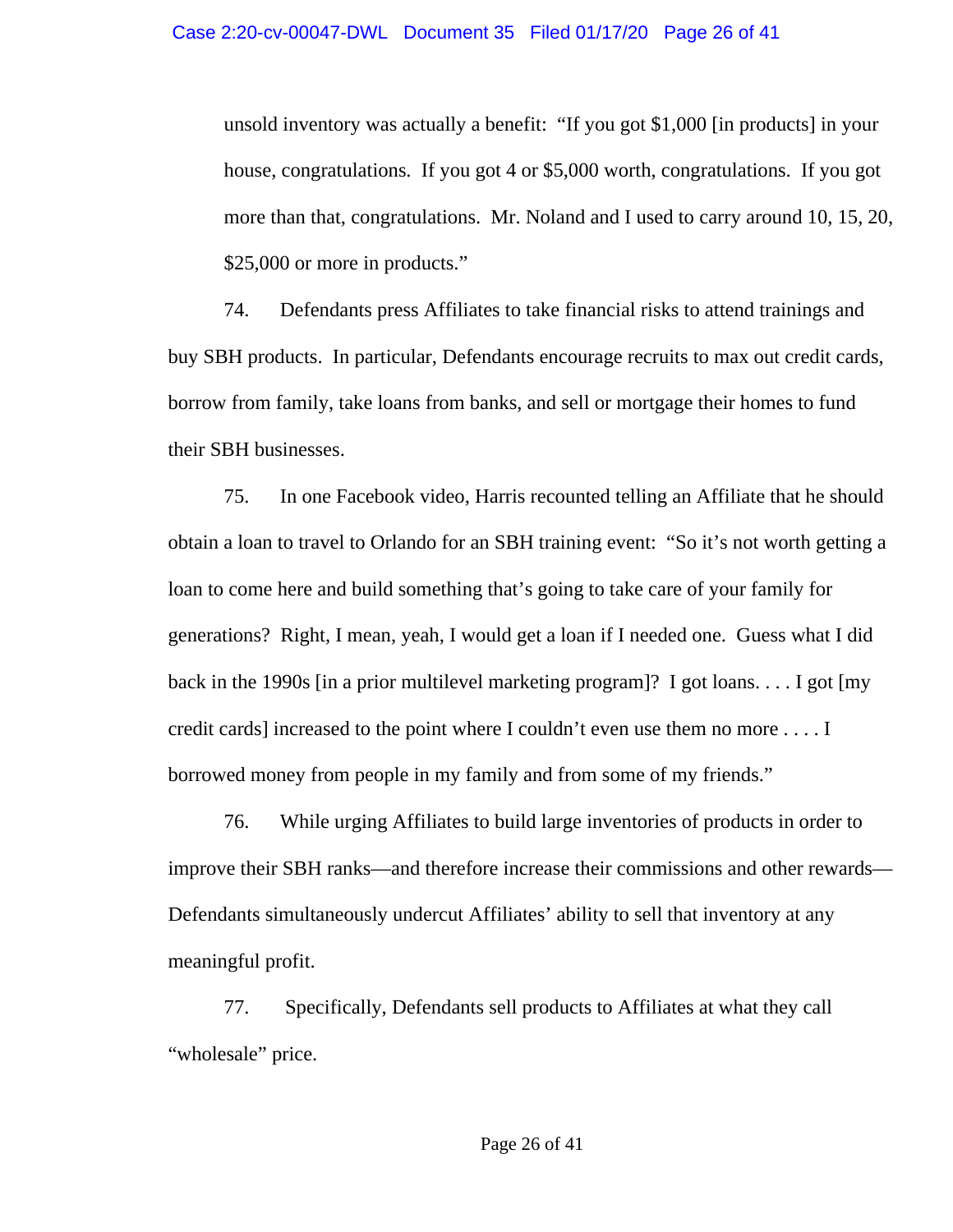unsold inventory was actually a benefit: "If you got \$1,000 [in products] in your house, congratulations. If you got 4 or \$5,000 worth, congratulations. If you got more than that, congratulations. Mr. Noland and I used to carry around 10, 15, 20, \$25,000 or more in products."

74. Defendants press Affiliates to take financial risks to attend trainings and buy SBH products. In particular, Defendants encourage recruits to max out credit cards, borrow from family, take loans from banks, and sell or mortgage their homes to fund their SBH businesses.

75. In one Facebook video, Harris recounted telling an Affiliate that he should obtain a loan to travel to Orlando for an SBH training event: "So it's not worth getting a loan to come here and build something that's going to take care of your family for generations? Right, I mean, yeah, I would get a loan if I needed one. Guess what I did back in the 1990s [in a prior multilevel marketing program]? I got loans. . . . I got [my credit cards] increased to the point where I couldn't even use them no more . . . . I borrowed money from people in my family and from some of my friends."

76. While urging Affiliates to build large inventories of products in order to improve their SBH ranks—and therefore increase their commissions and other rewards— Defendants simultaneously undercut Affiliates' ability to sell that inventory at any meaningful profit.

77. Specifically, Defendants sell products to Affiliates at what they call "wholesale" price.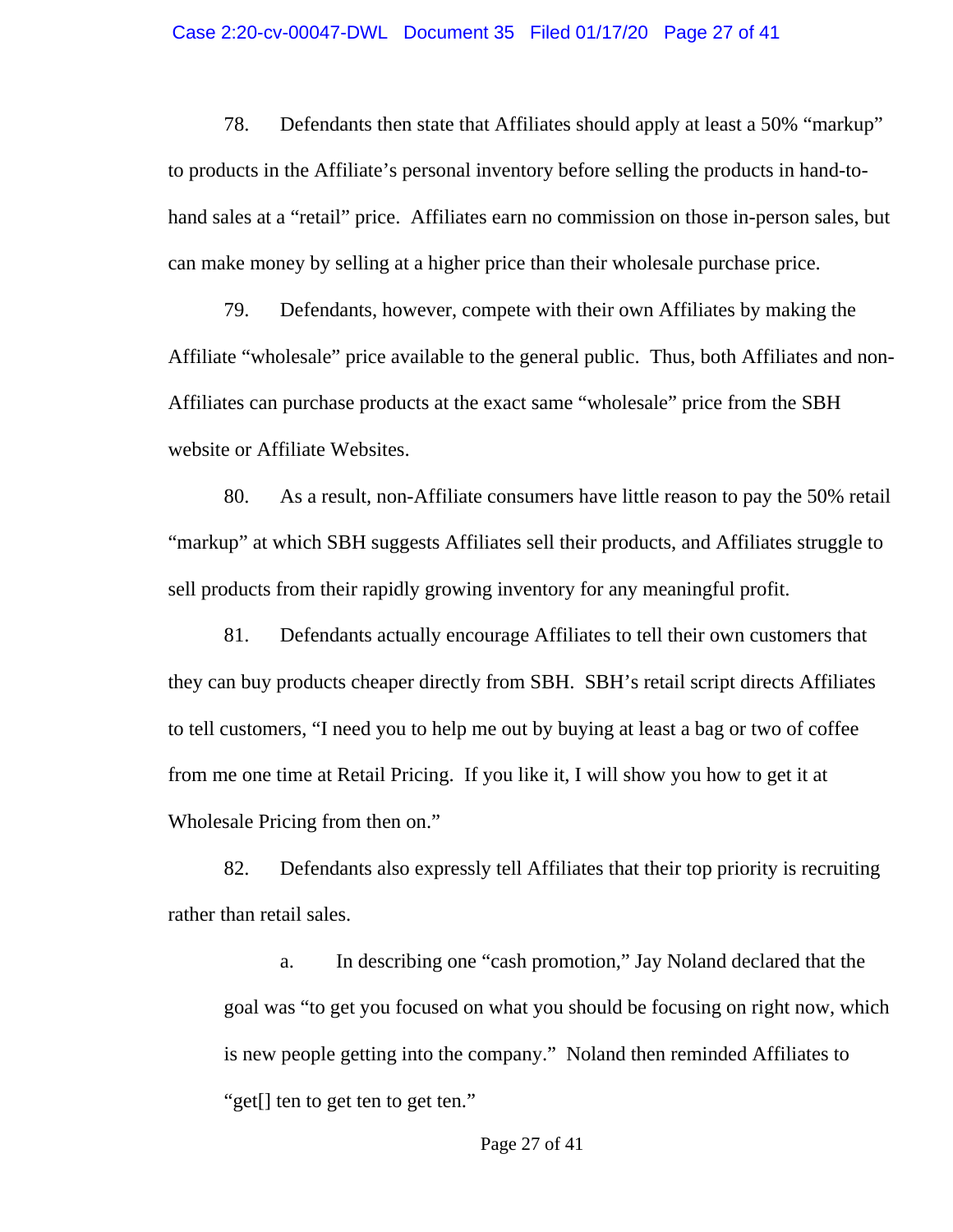#### Case 2:20-cv-00047-DWL Document 35 Filed 01/17/20 Page 27 of 41

78. Defendants then state that Affiliates should apply at least a 50% "markup" to products in the Affiliate's personal inventory before selling the products in hand-tohand sales at a "retail" price. Affiliates earn no commission on those in-person sales, but can make money by selling at a higher price than their wholesale purchase price.

79. Defendants, however, compete with their own Affiliates by making the Affiliate "wholesale" price available to the general public. Thus, both Affiliates and non-Affiliates can purchase products at the exact same "wholesale" price from the SBH website or Affiliate Websites.

80. As a result, non-Affiliate consumers have little reason to pay the 50% retail "markup" at which SBH suggests Affiliates sell their products, and Affiliates struggle to sell products from their rapidly growing inventory for any meaningful profit.

81. Defendants actually encourage Affiliates to tell their own customers that they can buy products cheaper directly from SBH. SBH's retail script directs Affiliates to tell customers, "I need you to help me out by buying at least a bag or two of coffee from me one time at Retail Pricing. If you like it, I will show you how to get it at Wholesale Pricing from then on."

82. Defendants also expressly tell Affiliates that their top priority is recruiting rather than retail sales.

a. In describing one "cash promotion," Jay Noland declared that the goal was "to get you focused on what you should be focusing on right now, which is new people getting into the company." Noland then reminded Affiliates to "get[] ten to get ten to get ten."

Page 27 of 41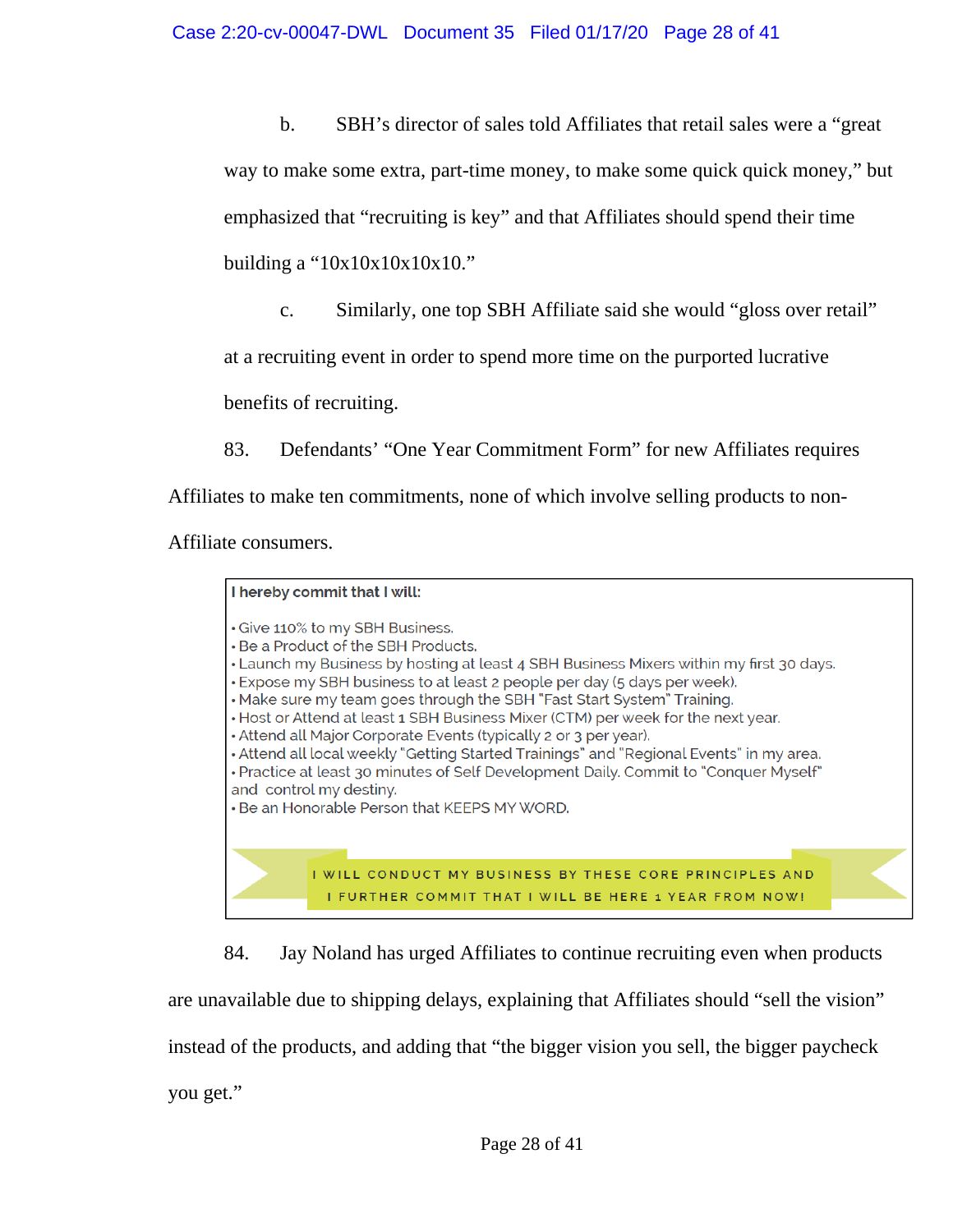b. SBH's director of sales told Affiliates that retail sales were a "great

way to make some extra, part-time money, to make some quick quick money," but

emphasized that "recruiting is key" and that Affiliates should spend their time

building a "10x10x10x10x10."

c. Similarly, one top SBH Affiliate said she would "gloss over retail"

at a recruiting event in order to spend more time on the purported lucrative

benefits of recruiting.

83. Defendants' "One Year Commitment Form" for new Affiliates requires

Affiliates to make ten commitments, none of which involve selling products to non-

Affiliate consumers.

| I hereby commit that I will:                                                                                                                                                                                                                                                                                                                                                                                                                                                                                                                                                                                                                                                                                                                  |
|-----------------------------------------------------------------------------------------------------------------------------------------------------------------------------------------------------------------------------------------------------------------------------------------------------------------------------------------------------------------------------------------------------------------------------------------------------------------------------------------------------------------------------------------------------------------------------------------------------------------------------------------------------------------------------------------------------------------------------------------------|
| • Give 110% to my SBH Business.<br>• Be a Product of the SBH Products.<br>• Launch my Business by hosting at least 4 SBH Business Mixers within my first 30 days.<br>• Expose my SBH business to at least 2 people per day (5 days per week).<br>• Make sure my team goes through the SBH "Fast Start System" Training.<br>• Host or Attend at least 1 SBH Business Mixer (CTM) per week for the next year.<br>• Attend all Major Corporate Events (typically 2 or 3 per year).<br>• Attend all local weekly "Getting Started Trainings" and "Regional Events" in my area.<br>• Practice at least 30 minutes of Self Development Daily. Commit to "Conquer Myself"<br>and control my destiny.<br>• Be an Honorable Person that KEEPS MY WORD. |
| I WILL CONDUCT MY BUSINESS BY THESE CORE PRINCIPLES AND<br>I FURTHER COMMIT THAT I WILL BE HERE 1 YEAR FROM NOW!                                                                                                                                                                                                                                                                                                                                                                                                                                                                                                                                                                                                                              |

84. Jay Noland has urged Affiliates to continue recruiting even when products

are unavailable due to shipping delays, explaining that Affiliates should "sell the vision"

instead of the products, and adding that "the bigger vision you sell, the bigger paycheck

you get."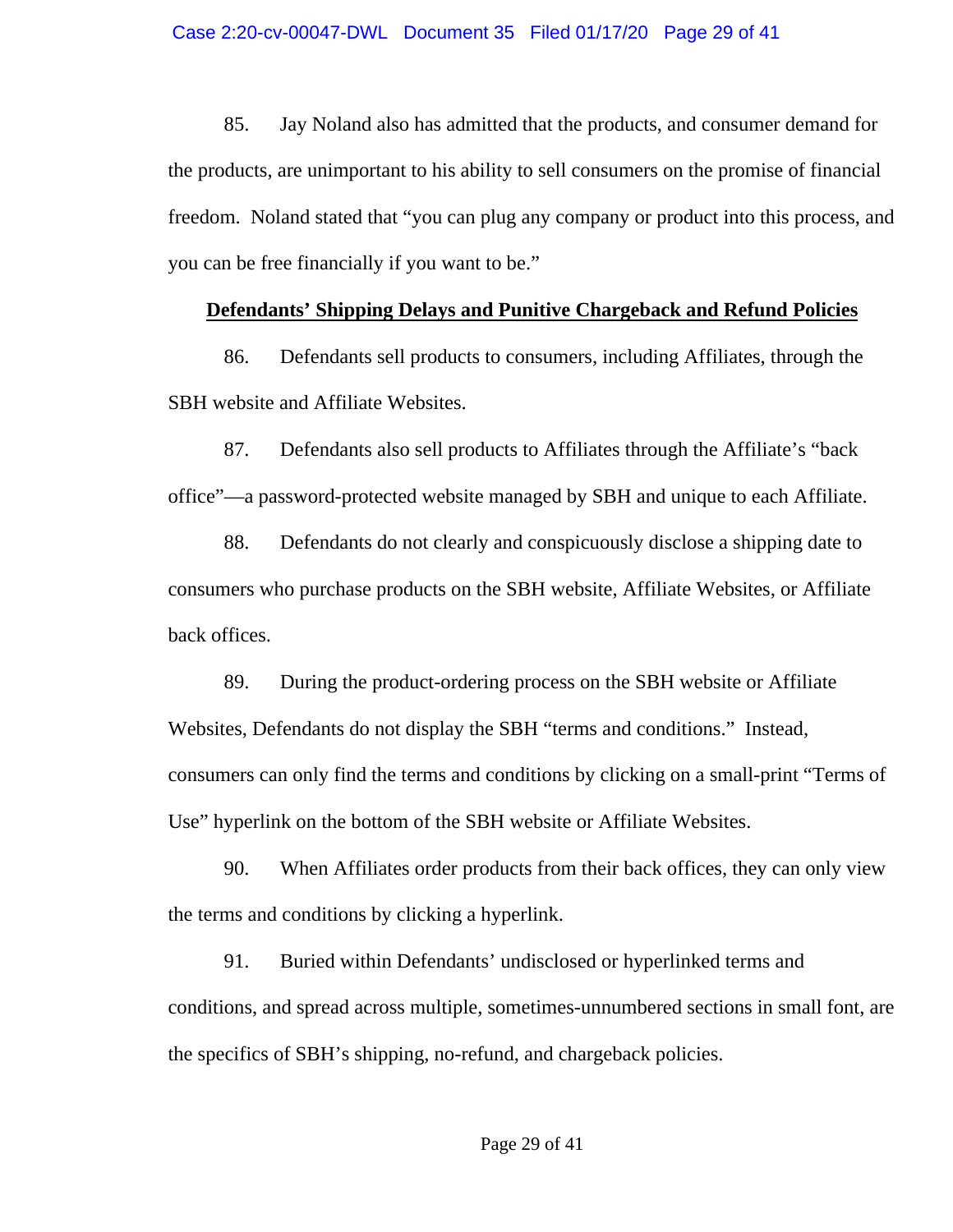85. Jay Noland also has admitted that the products, and consumer demand for the products, are unimportant to his ability to sell consumers on the promise of financial freedom. Noland stated that "you can plug any company or product into this process, and you can be free financially if you want to be."

## **Defendants' Shipping Delays and Punitive Chargeback and Refund Policies**

86. Defendants sell products to consumers, including Affiliates, through the SBH website and Affiliate Websites.

87. Defendants also sell products to Affiliates through the Affiliate's "back office"—a password-protected website managed by SBH and unique to each Affiliate.

88. Defendants do not clearly and conspicuously disclose a shipping date to consumers who purchase products on the SBH website, Affiliate Websites, or Affiliate back offices.

89. During the product-ordering process on the SBH website or Affiliate Websites, Defendants do not display the SBH "terms and conditions." Instead, consumers can only find the terms and conditions by clicking on a small-print "Terms of Use" hyperlink on the bottom of the SBH website or Affiliate Websites.

90. When Affiliates order products from their back offices, they can only view the terms and conditions by clicking a hyperlink.

91. Buried within Defendants' undisclosed or hyperlinked terms and conditions, and spread across multiple, sometimes-unnumbered sections in small font, are the specifics of SBH's shipping, no-refund, and chargeback policies.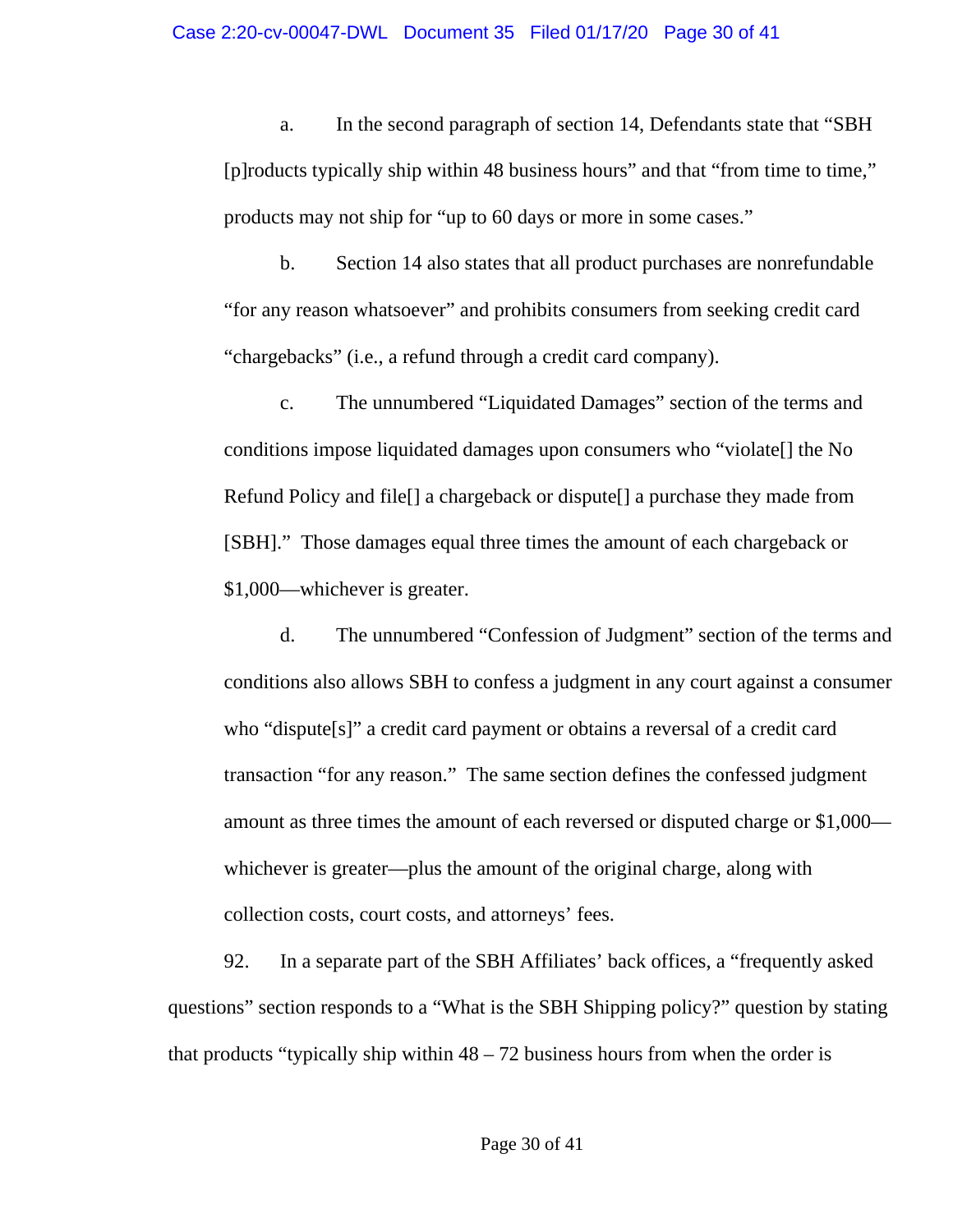a. In the second paragraph of section 14, Defendants state that "SBH [p]roducts typically ship within 48 business hours" and that "from time to time," products may not ship for "up to 60 days or more in some cases."

b. Section 14 also states that all product purchases are nonrefundable "for any reason whatsoever" and prohibits consumers from seeking credit card "chargebacks" (i.e., a refund through a credit card company).

c. The unnumbered "Liquidated Damages" section of the terms and conditions impose liquidated damages upon consumers who "violate[] the No Refund Policy and file[] a chargeback or dispute[] a purchase they made from [SBH]." Those damages equal three times the amount of each chargeback or \$1,000—whichever is greater.

d. The unnumbered "Confession of Judgment" section of the terms and conditions also allows SBH to confess a judgment in any court against a consumer who "dispute[s]" a credit card payment or obtains a reversal of a credit card transaction "for any reason." The same section defines the confessed judgment amount as three times the amount of each reversed or disputed charge or \$1,000 whichever is greater—plus the amount of the original charge, along with collection costs, court costs, and attorneys' fees.

92. In a separate part of the SBH Affiliates' back offices, a "frequently asked questions" section responds to a "What is the SBH Shipping policy?" question by stating that products "typically ship within  $48 - 72$  business hours from when the order is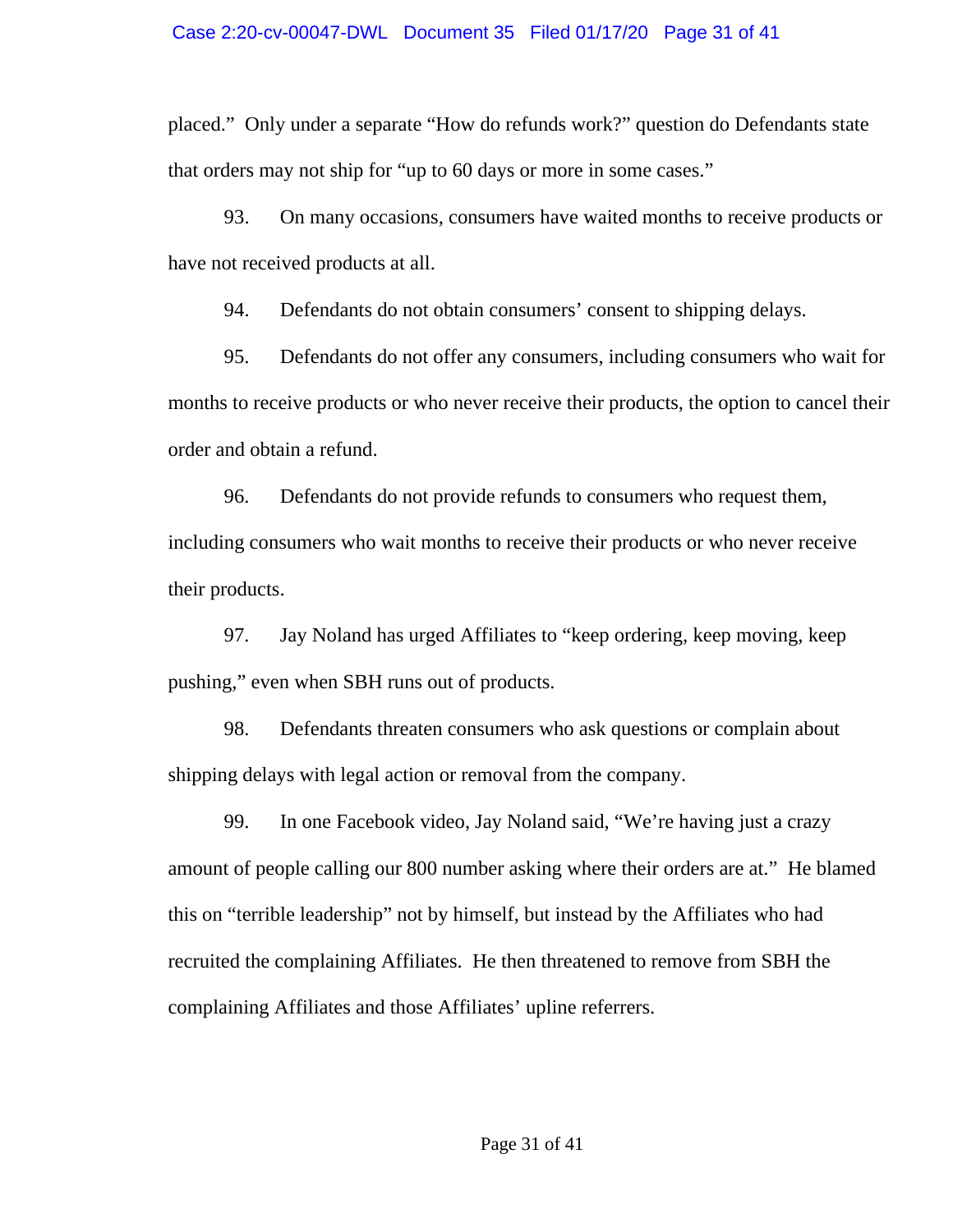placed." Only under a separate "How do refunds work?" question do Defendants state that orders may not ship for "up to 60 days or more in some cases."

93. On many occasions, consumers have waited months to receive products or have not received products at all.

94. Defendants do not obtain consumers' consent to shipping delays.

95. Defendants do not offer any consumers, including consumers who wait for months to receive products or who never receive their products, the option to cancel their order and obtain a refund.

96. Defendants do not provide refunds to consumers who request them, including consumers who wait months to receive their products or who never receive their products.

97. Jay Noland has urged Affiliates to "keep ordering, keep moving, keep pushing," even when SBH runs out of products.

98. Defendants threaten consumers who ask questions or complain about shipping delays with legal action or removal from the company.

99. In one Facebook video, Jay Noland said, "We're having just a crazy amount of people calling our 800 number asking where their orders are at." He blamed this on "terrible leadership" not by himself, but instead by the Affiliates who had recruited the complaining Affiliates. He then threatened to remove from SBH the complaining Affiliates and those Affiliates' upline referrers.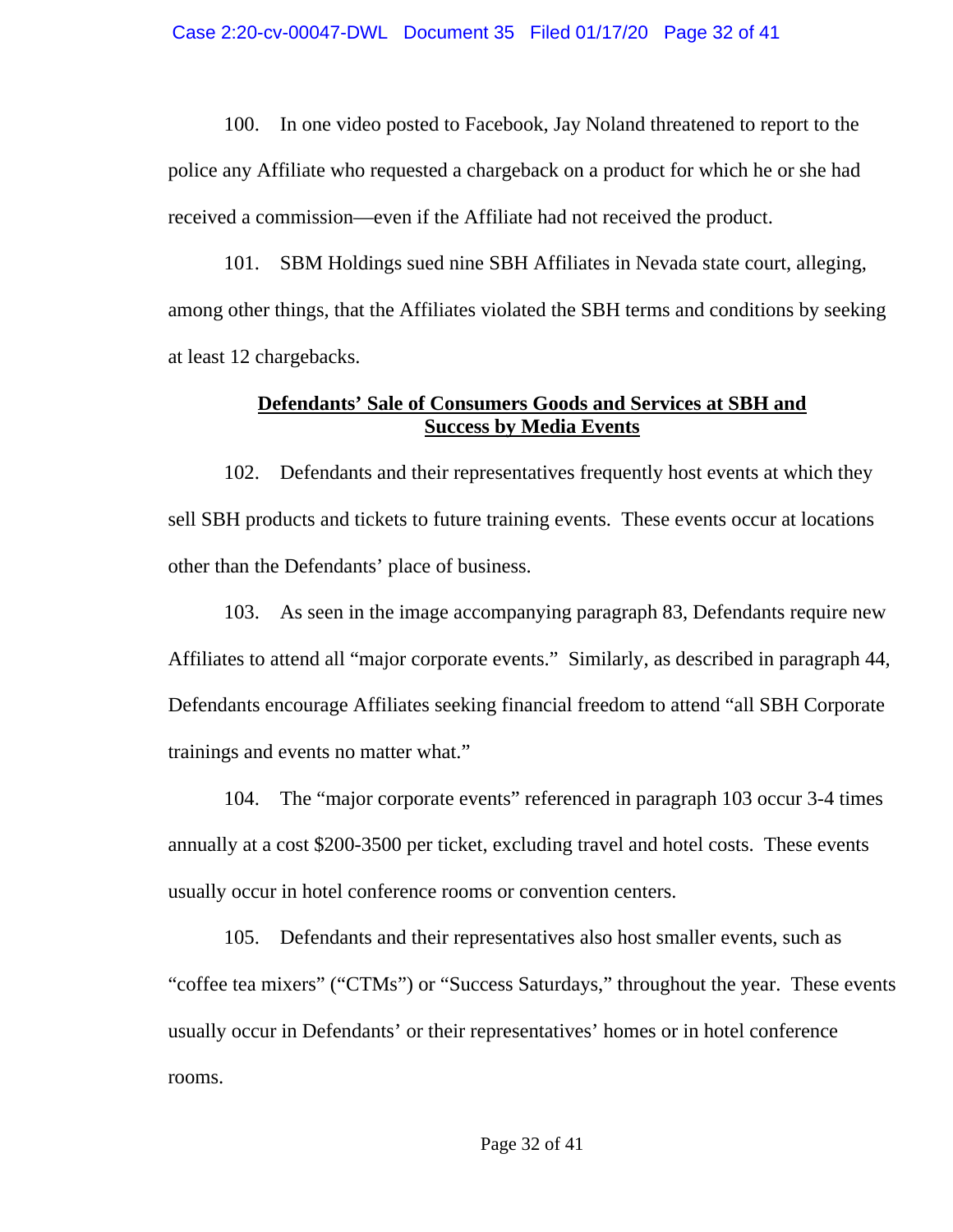100. In one video posted to Facebook, Jay Noland threatened to report to the police any Affiliate who requested a chargeback on a product for which he or she had received a commission—even if the Affiliate had not received the product.

101. SBM Holdings sued nine SBH Affiliates in Nevada state court, alleging, among other things, that the Affiliates violated the SBH terms and conditions by seeking at least 12 chargebacks.

# **Defendants' Sale of Consumers Goods and Services at SBH and Success by Media Events**

102. Defendants and their representatives frequently host events at which they sell SBH products and tickets to future training events. These events occur at locations other than the Defendants' place of business.

103. As seen in the image accompanying paragraph 83, Defendants require new Affiliates to attend all "major corporate events." Similarly, as described in paragraph 44, Defendants encourage Affiliates seeking financial freedom to attend "all SBH Corporate trainings and events no matter what."

104. The "major corporate events" referenced in paragraph 103 occur 3-4 times annually at a cost \$200-3500 per ticket, excluding travel and hotel costs. These events usually occur in hotel conference rooms or convention centers.

105. Defendants and their representatives also host smaller events, such as "coffee tea mixers" ("CTMs") or "Success Saturdays," throughout the year. These events usually occur in Defendants' or their representatives' homes or in hotel conference rooms.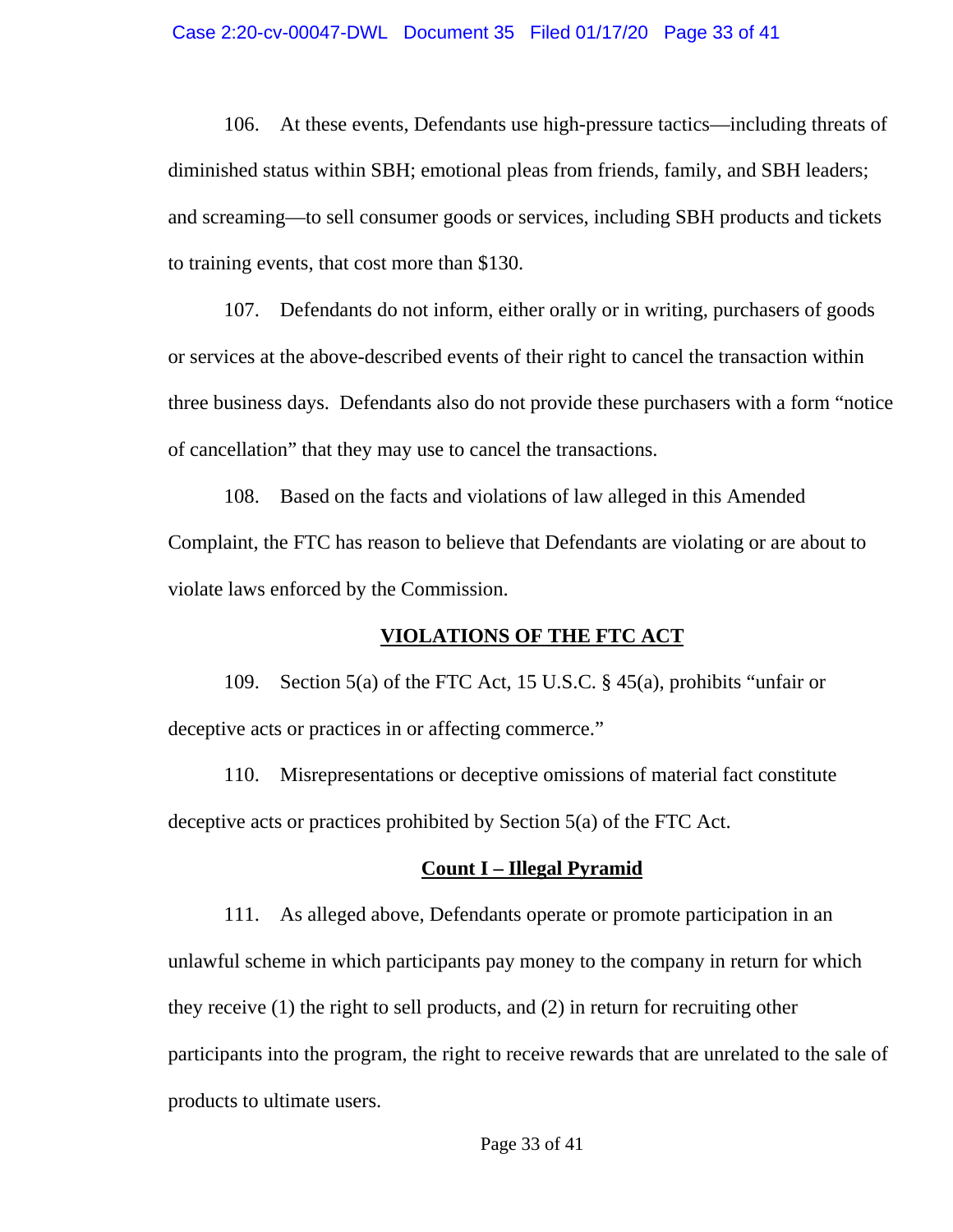#### Case 2:20-cv-00047-DWL Document 35 Filed 01/17/20 Page 33 of 41

106. At these events, Defendants use high-pressure tactics—including threats of diminished status within SBH; emotional pleas from friends, family, and SBH leaders; and screaming—to sell consumer goods or services, including SBH products and tickets to training events, that cost more than \$130.

107. Defendants do not inform, either orally or in writing, purchasers of goods or services at the above-described events of their right to cancel the transaction within three business days. Defendants also do not provide these purchasers with a form "notice of cancellation" that they may use to cancel the transactions.

108. Based on the facts and violations of law alleged in this Amended Complaint, the FTC has reason to believe that Defendants are violating or are about to violate laws enforced by the Commission.

### **VIOLATIONS OF THE FTC ACT**

109. Section 5(a) of the FTC Act, 15 U.S.C. § 45(a), prohibits "unfair or deceptive acts or practices in or affecting commerce."

110. Misrepresentations or deceptive omissions of material fact constitute deceptive acts or practices prohibited by Section 5(a) of the FTC Act.

#### **Count I – Illegal Pyramid**

111. As alleged above, Defendants operate or promote participation in an unlawful scheme in which participants pay money to the company in return for which they receive (1) the right to sell products, and (2) in return for recruiting other participants into the program, the right to receive rewards that are unrelated to the sale of products to ultimate users.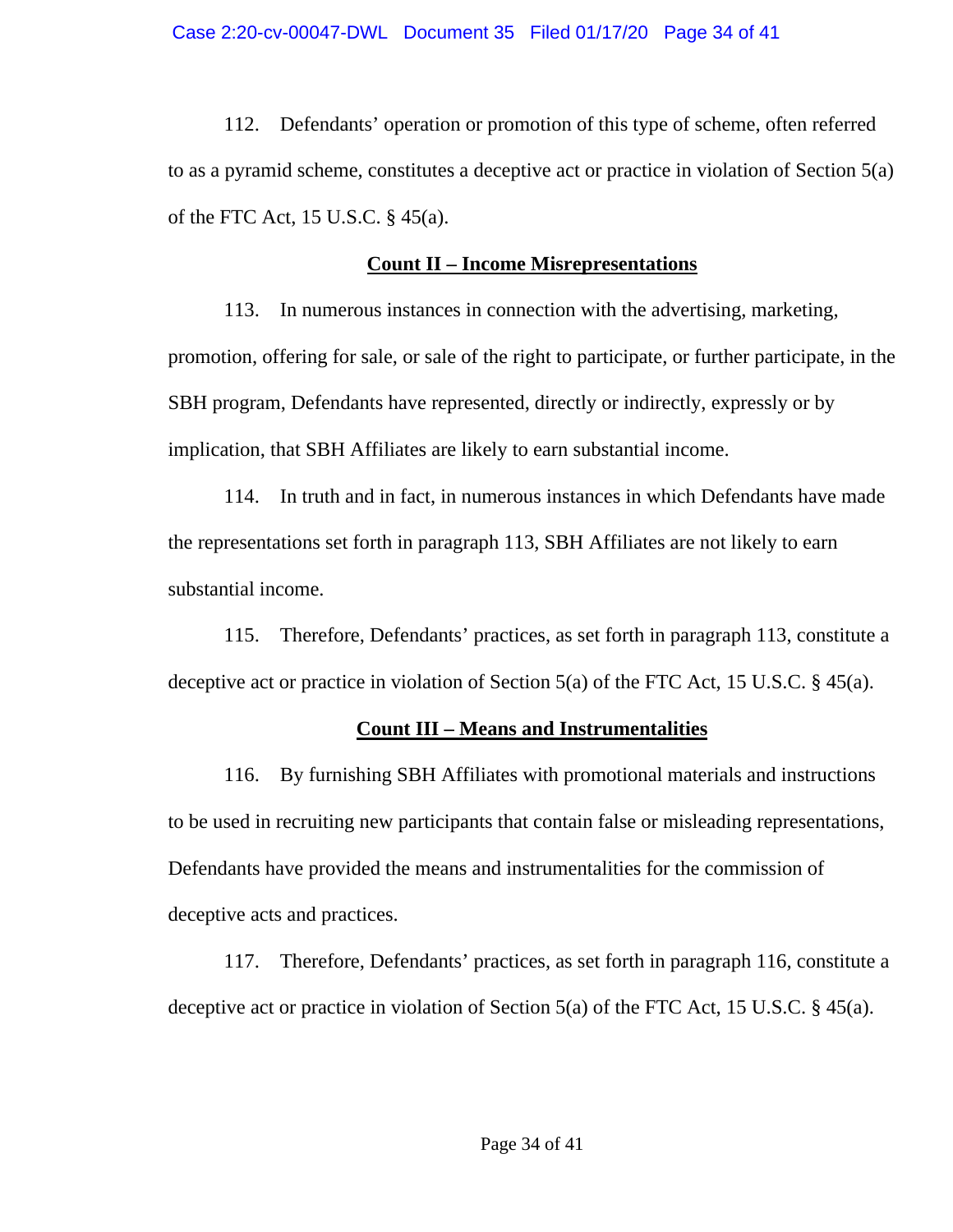112. Defendants' operation or promotion of this type of scheme, often referred to as a pyramid scheme, constitutes a deceptive act or practice in violation of Section 5(a) of the FTC Act, 15 U.S.C. § 45(a).

# **Count II – Income Misrepresentations**

113. In numerous instances in connection with the advertising, marketing, promotion, offering for sale, or sale of the right to participate, or further participate, in the SBH program, Defendants have represented, directly or indirectly, expressly or by implication, that SBH Affiliates are likely to earn substantial income.

114. In truth and in fact, in numerous instances in which Defendants have made the representations set forth in paragraph 113, SBH Affiliates are not likely to earn substantial income.

115. Therefore, Defendants' practices, as set forth in paragraph 113, constitute a deceptive act or practice in violation of Section 5(a) of the FTC Act, 15 U.S.C. § 45(a).

# **Count III – Means and Instrumentalities**

116. By furnishing SBH Affiliates with promotional materials and instructions to be used in recruiting new participants that contain false or misleading representations, Defendants have provided the means and instrumentalities for the commission of deceptive acts and practices.

117. Therefore, Defendants' practices, as set forth in paragraph 116, constitute a deceptive act or practice in violation of Section 5(a) of the FTC Act, 15 U.S.C. § 45(a).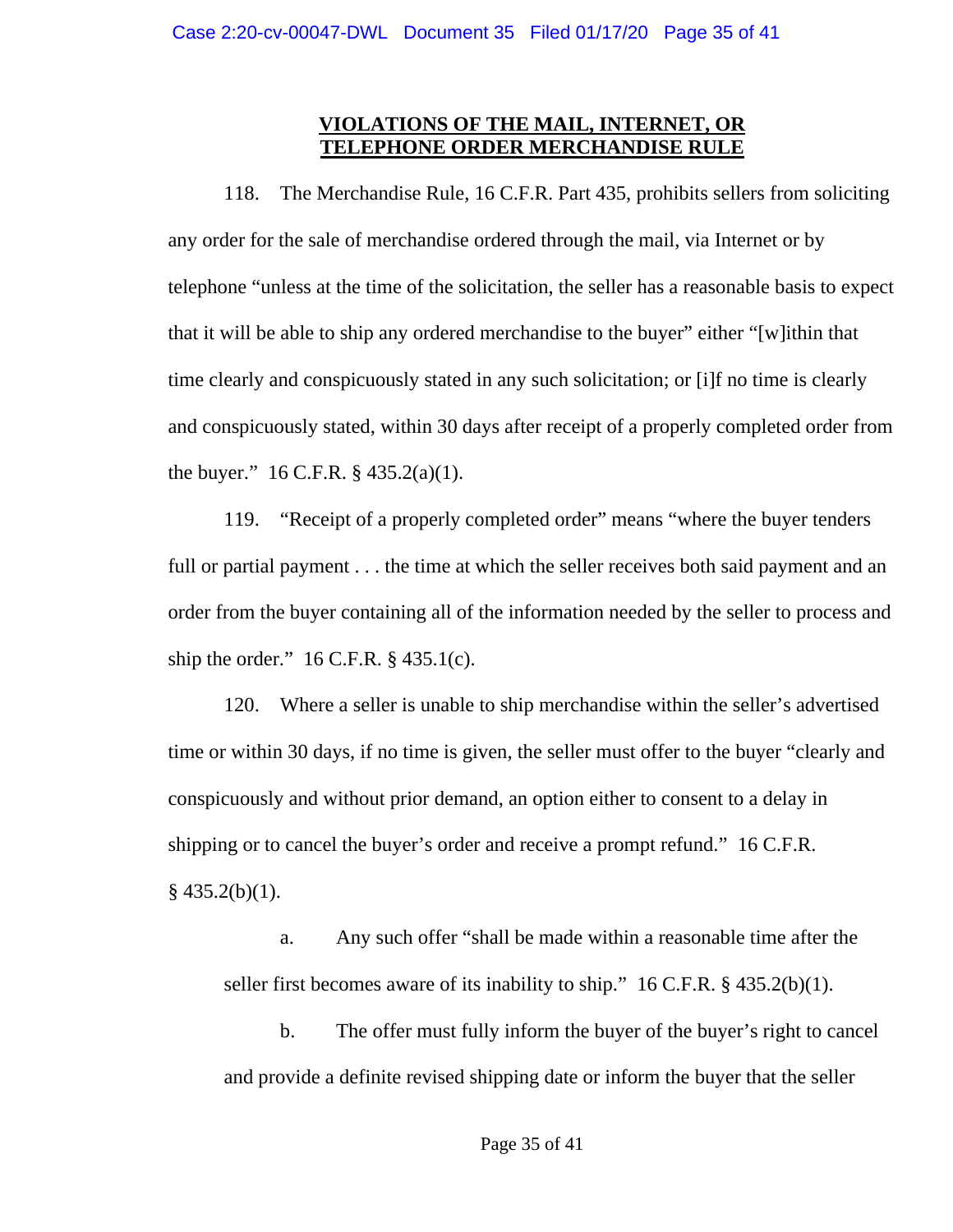## **VIOLATIONS OF THE MAIL, INTERNET, OR TELEPHONE ORDER MERCHANDISE RULE**

118. The Merchandise Rule, 16 C.F.R. Part 435, prohibits sellers from soliciting any order for the sale of merchandise ordered through the mail, via Internet or by telephone "unless at the time of the solicitation, the seller has a reasonable basis to expect that it will be able to ship any ordered merchandise to the buyer" either "[w]ithin that time clearly and conspicuously stated in any such solicitation; or [i]f no time is clearly and conspicuously stated, within 30 days after receipt of a properly completed order from the buyer."  $16$  C.F.R. § 435.2(a)(1).

119. "Receipt of a properly completed order" means "where the buyer tenders full or partial payment . . . the time at which the seller receives both said payment and an order from the buyer containing all of the information needed by the seller to process and ship the order."  $16$  C.F.R. § 435.1(c).

120. Where a seller is unable to ship merchandise within the seller's advertised time or within 30 days, if no time is given, the seller must offer to the buyer "clearly and conspicuously and without prior demand, an option either to consent to a delay in shipping or to cancel the buyer's order and receive a prompt refund." 16 C.F.R.  $§$  435.2(b)(1).

a. Any such offer "shall be made within a reasonable time after the seller first becomes aware of its inability to ship." 16 C.F.R. § 435.2(b)(1).

b. The offer must fully inform the buyer of the buyer's right to cancel and provide a definite revised shipping date or inform the buyer that the seller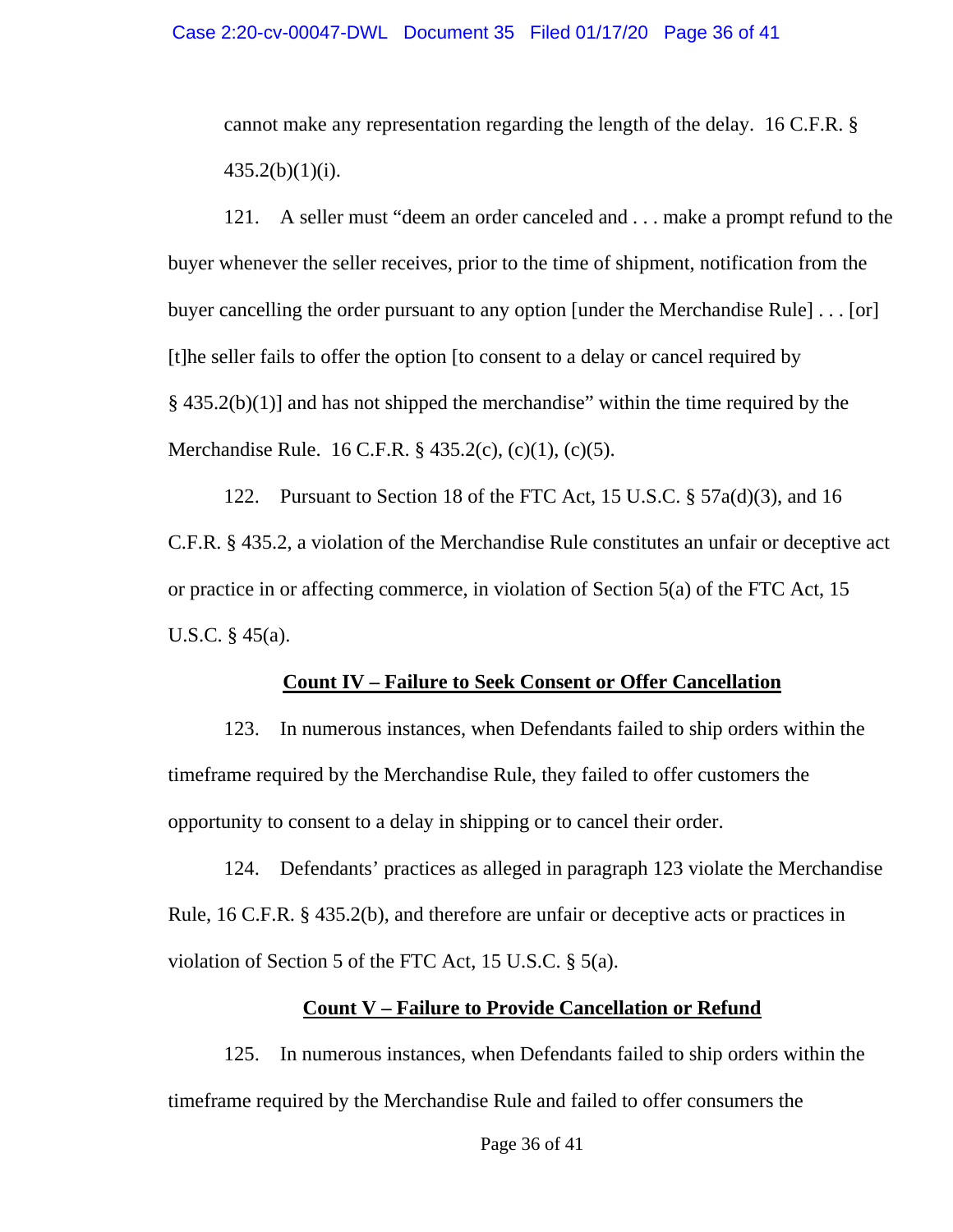cannot make any representation regarding the length of the delay. 16 C.F.R. §  $435.2(b)(1)(i)$ .

121. A seller must "deem an order canceled and . . . make a prompt refund to the buyer whenever the seller receives, prior to the time of shipment, notification from the buyer cancelling the order pursuant to any option [under the Merchandise Rule] . . . [or] [t]he seller fails to offer the option [to consent to a delay or cancel required by  $\S$  435.2(b)(1)] and has not shipped the merchandise" within the time required by the Merchandise Rule. 16 C.F.R. § 435.2(c), (c)(1), (c)(5).

122. Pursuant to Section 18 of the FTC Act, 15 U.S.C. § 57a(d)(3), and 16 C.F.R. § 435.2, a violation of the Merchandise Rule constitutes an unfair or deceptive act or practice in or affecting commerce, in violation of Section 5(a) of the FTC Act, 15 U.S.C. § 45(a).

#### **Count IV – Failure to Seek Consent or Offer Cancellation**

123. In numerous instances, when Defendants failed to ship orders within the timeframe required by the Merchandise Rule, they failed to offer customers the opportunity to consent to a delay in shipping or to cancel their order.

124. Defendants' practices as alleged in paragraph 123 violate the Merchandise Rule, 16 C.F.R. § 435.2(b), and therefore are unfair or deceptive acts or practices in violation of Section 5 of the FTC Act, 15 U.S.C. § 5(a).

### **Count V – Failure to Provide Cancellation or Refund**

125. In numerous instances, when Defendants failed to ship orders within the timeframe required by the Merchandise Rule and failed to offer consumers the

Page 36 of 41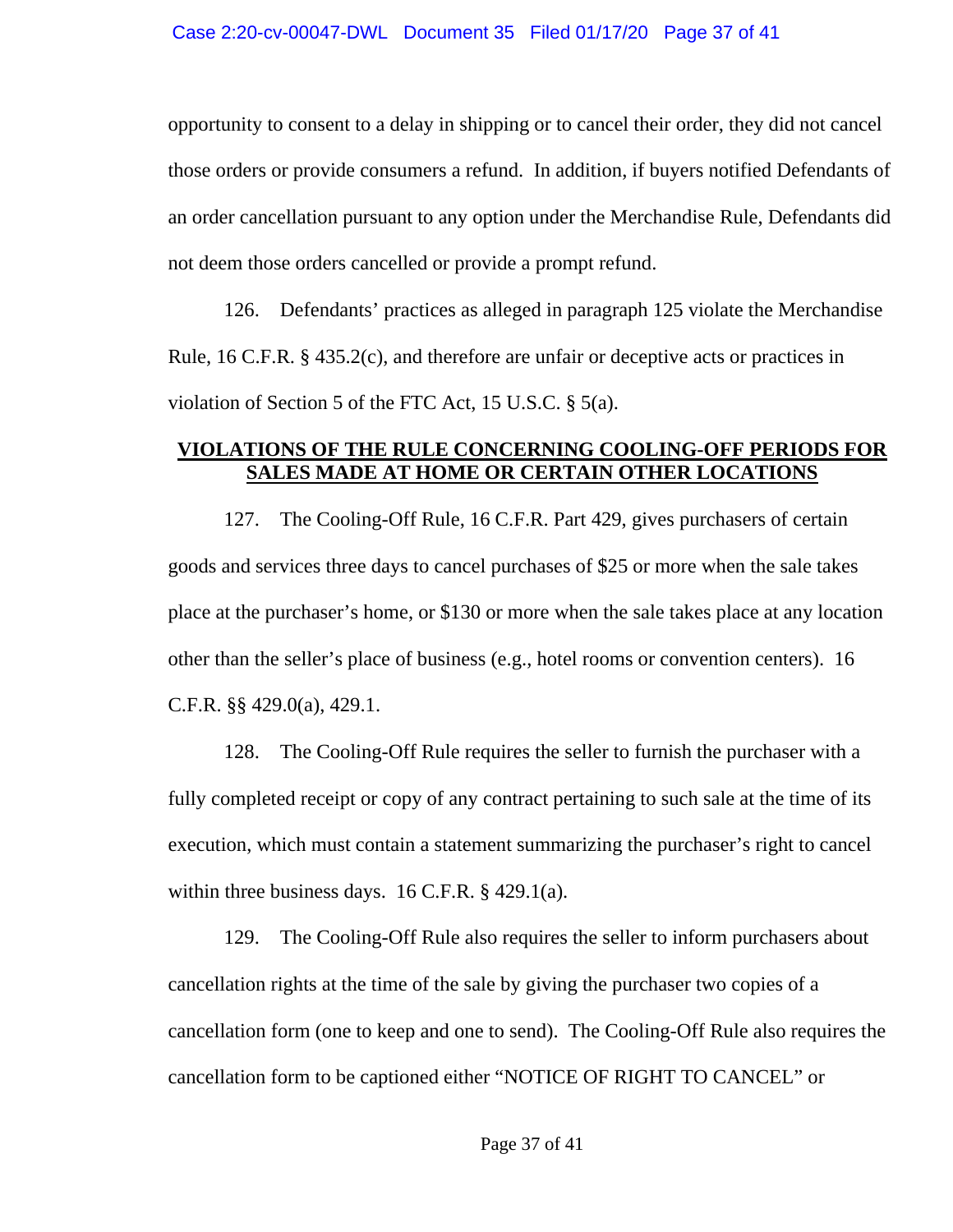opportunity to consent to a delay in shipping or to cancel their order, they did not cancel those orders or provide consumers a refund. In addition, if buyers notified Defendants of an order cancellation pursuant to any option under the Merchandise Rule, Defendants did not deem those orders cancelled or provide a prompt refund.

126. Defendants' practices as alleged in paragraph 125 violate the Merchandise Rule, 16 C.F.R. § 435.2(c), and therefore are unfair or deceptive acts or practices in violation of Section 5 of the FTC Act, 15 U.S.C. § 5(a).

# **VIOLATIONS OF THE RULE CONCERNING COOLING-OFF PERIODS FOR SALES MADE AT HOME OR CERTAIN OTHER LOCATIONS**

127. The Cooling-Off Rule, 16 C.F.R. Part 429, gives purchasers of certain goods and services three days to cancel purchases of \$25 or more when the sale takes place at the purchaser's home, or \$130 or more when the sale takes place at any location other than the seller's place of business (e.g., hotel rooms or convention centers). 16 C.F.R. §§ 429.0(a), 429.1.

128. The Cooling-Off Rule requires the seller to furnish the purchaser with a fully completed receipt or copy of any contract pertaining to such sale at the time of its execution, which must contain a statement summarizing the purchaser's right to cancel within three business days.  $16$  C.F.R. § 429.1(a).

129. The Cooling-Off Rule also requires the seller to inform purchasers about cancellation rights at the time of the sale by giving the purchaser two copies of a cancellation form (one to keep and one to send). The Cooling-Off Rule also requires the cancellation form to be captioned either "NOTICE OF RIGHT TO CANCEL" or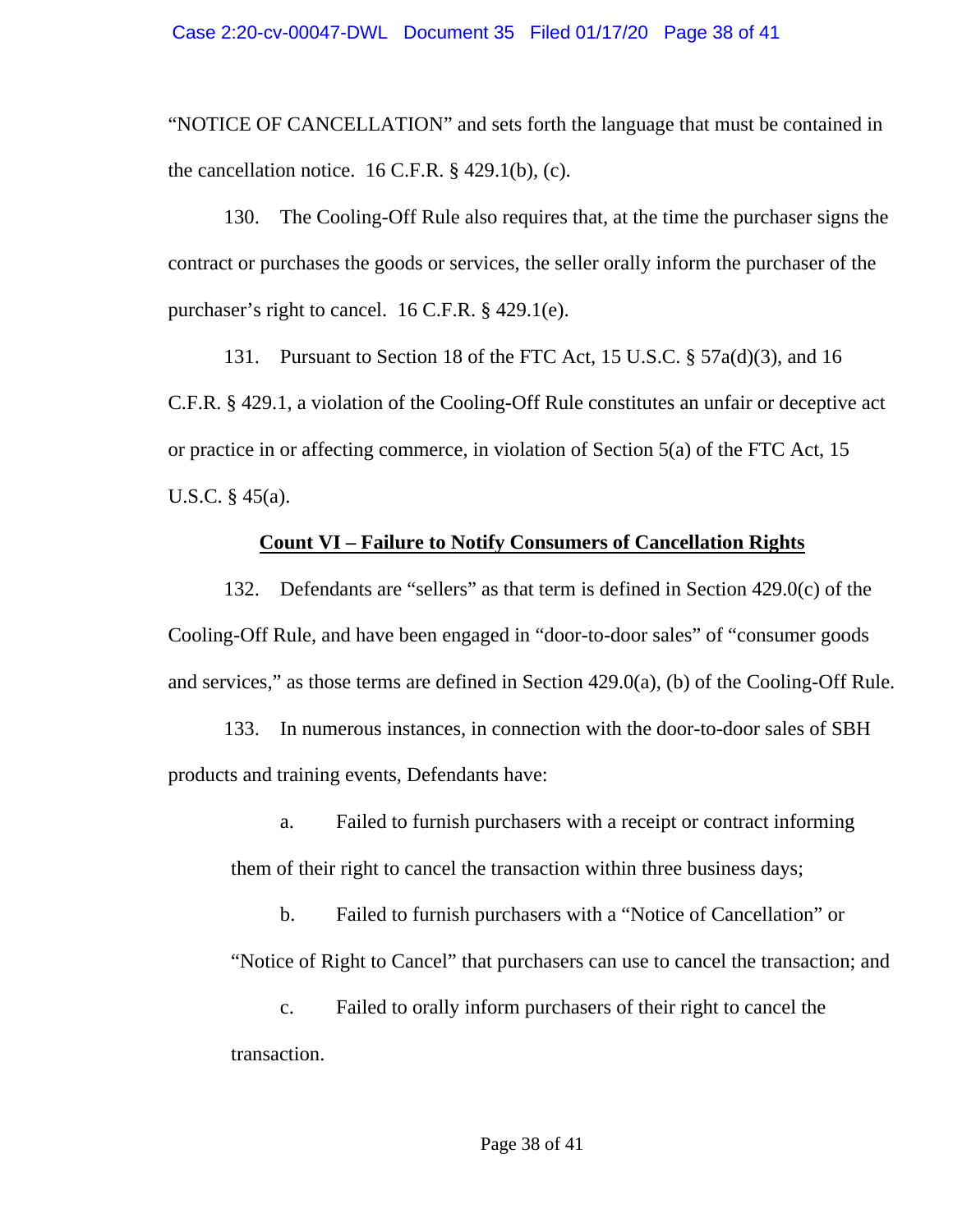"NOTICE OF CANCELLATION" and sets forth the language that must be contained in the cancellation notice.  $16$  C.F.R. § 429.1(b), (c).

130. The Cooling-Off Rule also requires that, at the time the purchaser signs the contract or purchases the goods or services, the seller orally inform the purchaser of the purchaser's right to cancel. 16 C.F.R. § 429.1(e).

131. Pursuant to Section 18 of the FTC Act, 15 U.S.C. § 57a(d)(3), and 16 C.F.R. § 429.1, a violation of the Cooling-Off Rule constitutes an unfair or deceptive act or practice in or affecting commerce, in violation of Section 5(a) of the FTC Act, 15 U.S.C. § 45(a).

### **Count VI – Failure to Notify Consumers of Cancellation Rights**

132. Defendants are "sellers" as that term is defined in Section 429.0(c) of the Cooling-Off Rule, and have been engaged in "door-to-door sales" of "consumer goods and services," as those terms are defined in Section 429.0(a), (b) of the Cooling-Off Rule.

133. In numerous instances, in connection with the door-to-door sales of SBH products and training events, Defendants have:

a. Failed to furnish purchasers with a receipt or contract informing them of their right to cancel the transaction within three business days;

b. Failed to furnish purchasers with a "Notice of Cancellation" or "Notice of Right to Cancel" that purchasers can use to cancel the transaction; and

c. Failed to orally inform purchasers of their right to cancel the transaction.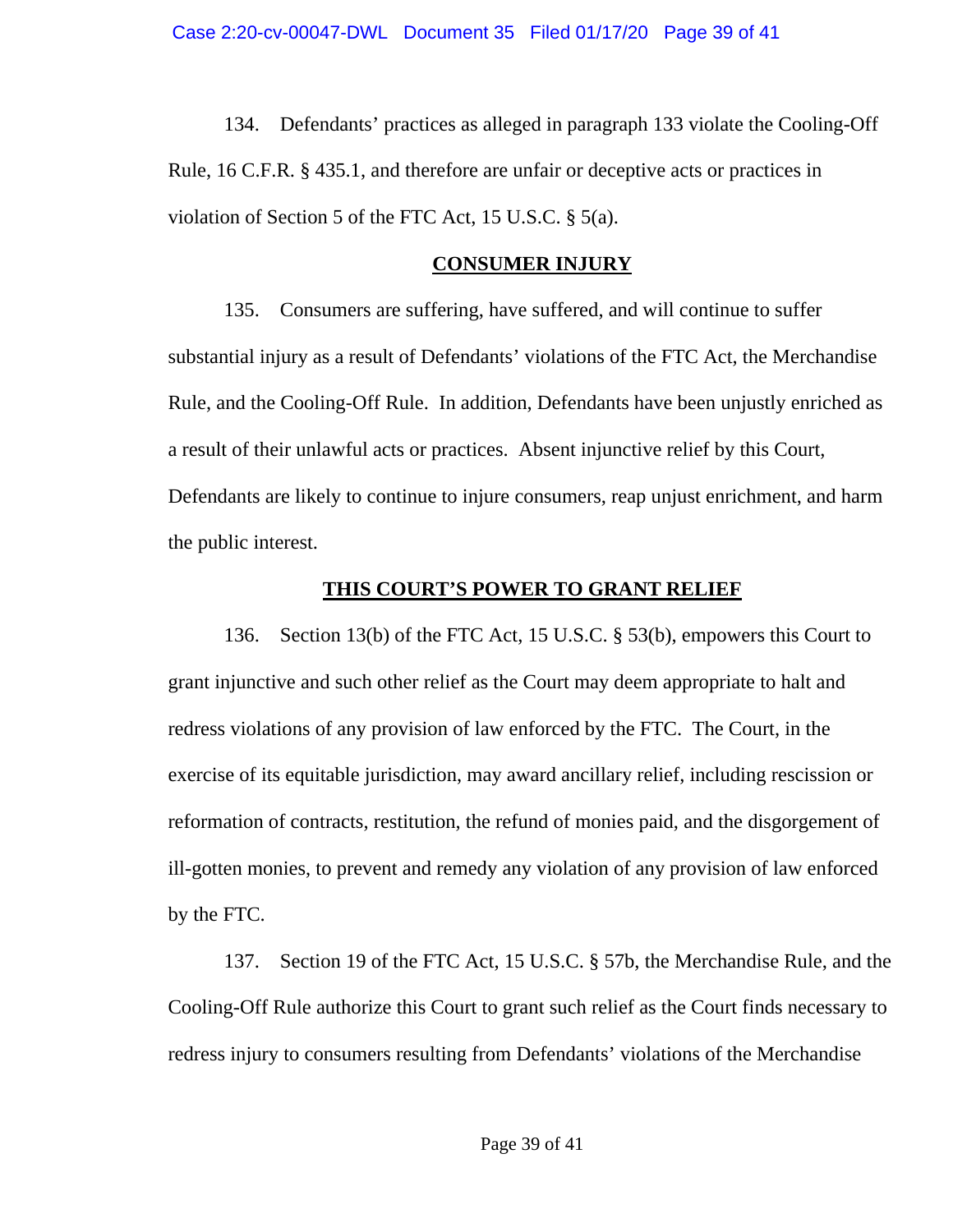134. Defendants' practices as alleged in paragraph 133 violate the Cooling-Off Rule, 16 C.F.R. § 435.1, and therefore are unfair or deceptive acts or practices in violation of Section 5 of the FTC Act, 15 U.S.C. § 5(a).

### **CONSUMER INJURY**

135. Consumers are suffering, have suffered, and will continue to suffer substantial injury as a result of Defendants' violations of the FTC Act, the Merchandise Rule, and the Cooling-Off Rule. In addition, Defendants have been unjustly enriched as a result of their unlawful acts or practices. Absent injunctive relief by this Court, Defendants are likely to continue to injure consumers, reap unjust enrichment, and harm the public interest.

## **THIS COURT'S POWER TO GRANT RELIEF**

136. Section 13(b) of the FTC Act, 15 U.S.C. § 53(b), empowers this Court to grant injunctive and such other relief as the Court may deem appropriate to halt and redress violations of any provision of law enforced by the FTC. The Court, in the exercise of its equitable jurisdiction, may award ancillary relief, including rescission or reformation of contracts, restitution, the refund of monies paid, and the disgorgement of ill-gotten monies, to prevent and remedy any violation of any provision of law enforced by the FTC.

137. Section 19 of the FTC Act, 15 U.S.C. § 57b, the Merchandise Rule, and the Cooling-Off Rule authorize this Court to grant such relief as the Court finds necessary to redress injury to consumers resulting from Defendants' violations of the Merchandise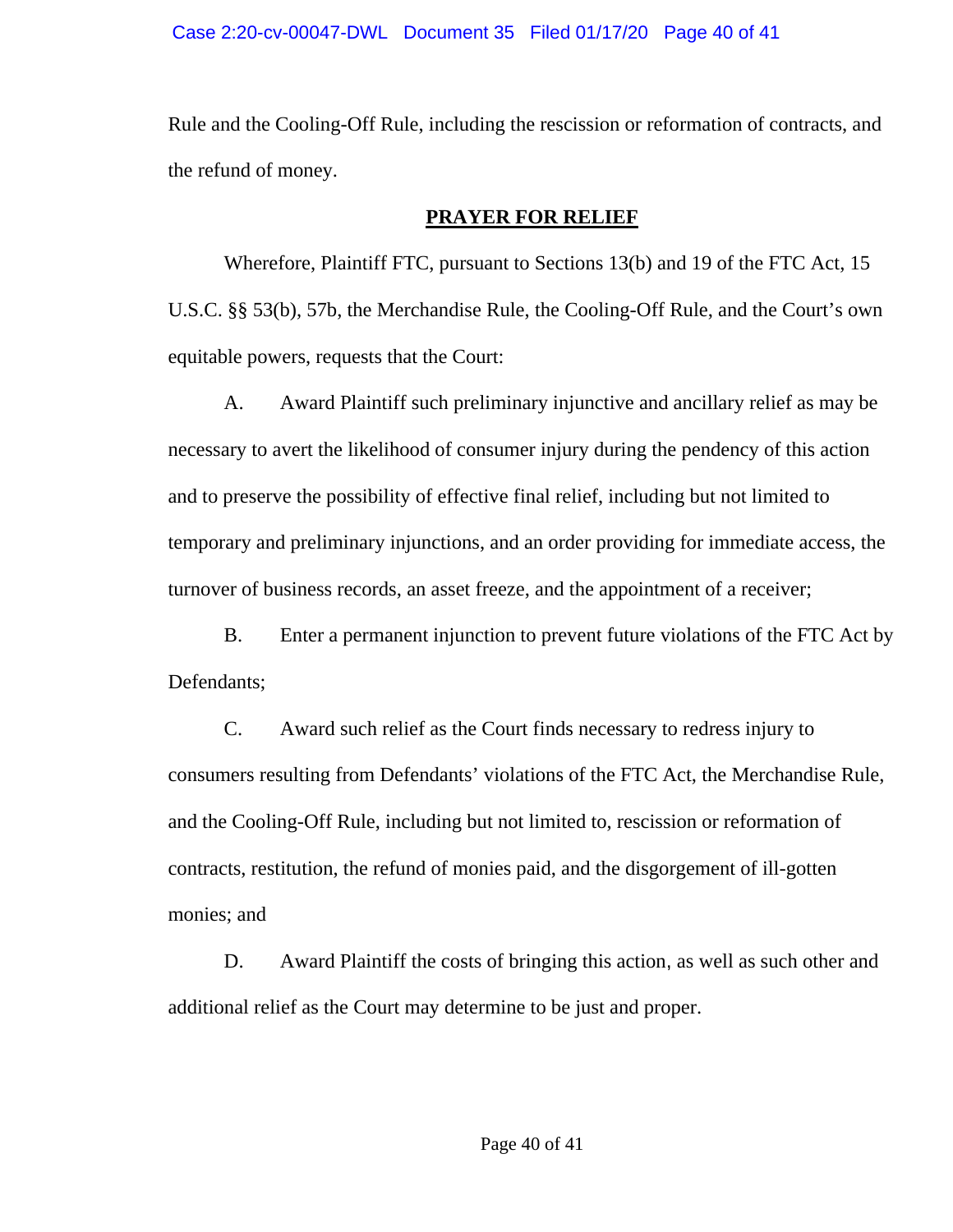Rule and the Cooling-Off Rule, including the rescission or reformation of contracts, and the refund of money.

# **PRAYER FOR RELIEF**

Wherefore, Plaintiff FTC, pursuant to Sections 13(b) and 19 of the FTC Act, 15 U.S.C. §§ 53(b), 57b, the Merchandise Rule, the Cooling-Off Rule, and the Court's own equitable powers, requests that the Court:

 A. Award Plaintiff such preliminary injunctive and ancillary relief as may be necessary to avert the likelihood of consumer injury during the pendency of this action and to preserve the possibility of effective final relief, including but not limited to temporary and preliminary injunctions, and an order providing for immediate access, the turnover of business records, an asset freeze, and the appointment of a receiver;

 B. Enter a permanent injunction to prevent future violations of the FTC Act by Defendants;

 C. Award such relief as the Court finds necessary to redress injury to consumers resulting from Defendants' violations of the FTC Act, the Merchandise Rule, and the Cooling-Off Rule, including but not limited to, rescission or reformation of contracts, restitution, the refund of monies paid, and the disgorgement of ill-gotten monies; and

D. Award Plaintiff the costs of bringing this action, as well as such other and additional relief as the Court may determine to be just and proper.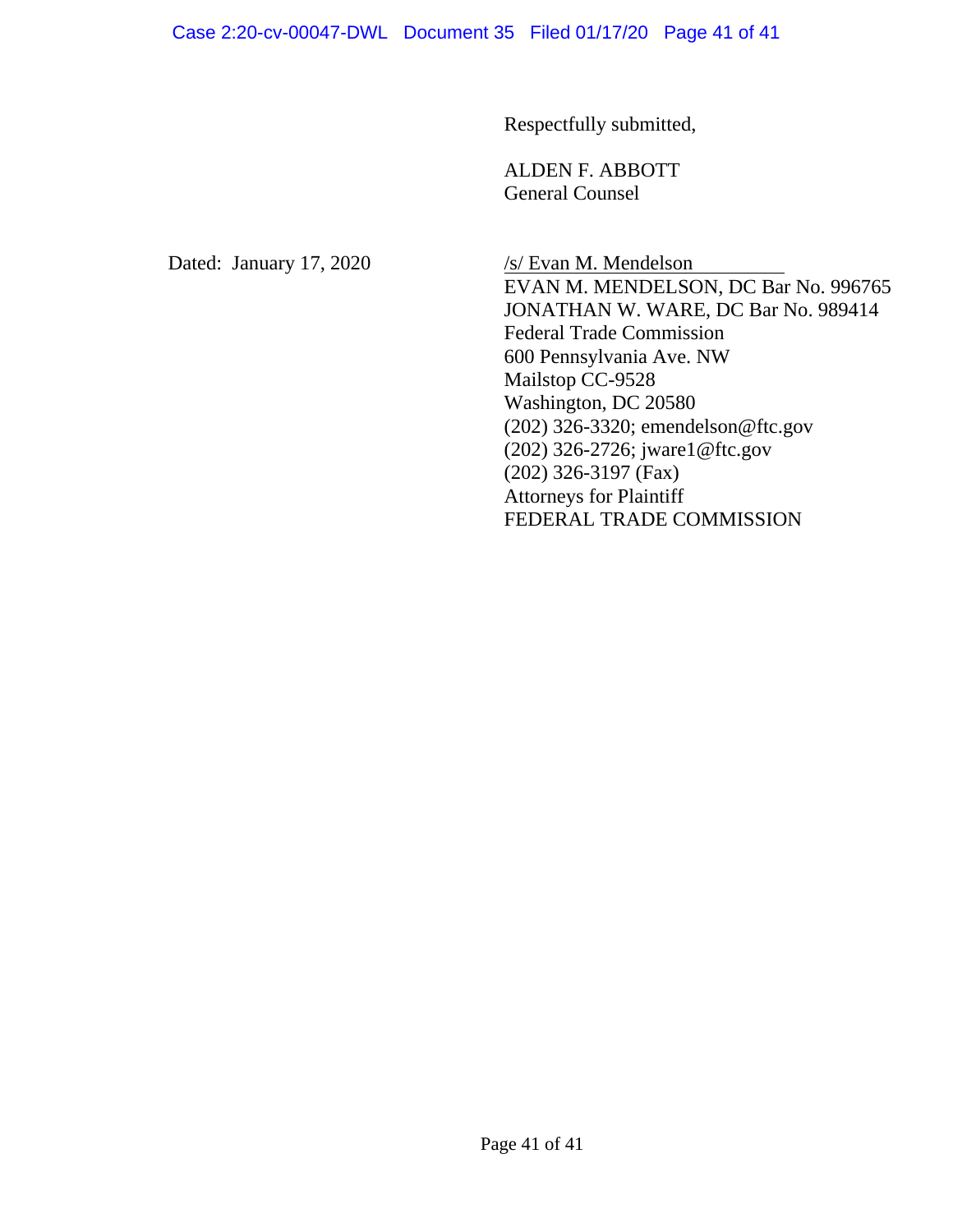### Case 2:20-cv-00047-DWL Document 35 Filed 01/17/20 Page 41 of 41

Respectfully submitted,

 ALDEN F. ABBOTT General Counsel

Dated: January 17, 2020 /s/ Evan M. Mendelson

 EVAN M. MENDELSON, DC Bar No. 996765 JONATHAN W. WARE, DC Bar No. 989414 Federal Trade Commission 600 Pennsylvania Ave. NW Mailstop CC-9528 Washington, DC 20580 (202) 326-3320; emendelson@ftc.gov (202) 326-2726; jware1@ftc.gov (202) 326-3197 (Fax) Attorneys for Plaintiff FEDERAL TRADE COMMISSION